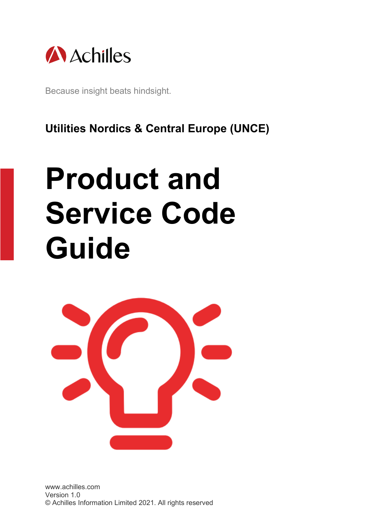

Because insight beats hindsight.

**Utilities Nordics & Central Europe (UNCE)**

# **Product and Service Code Guide**

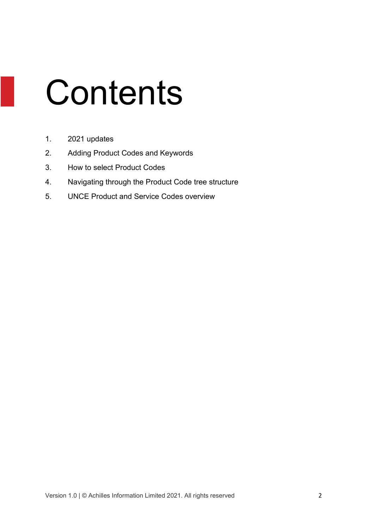# **Contents**

- 1. 2021 updates
- 2. Adding Product Codes and Keywords
- 3. How to select Product Codes
- 4. Navigating through the Product Code tree structure
- 5. UNCE Product and Service Codes overview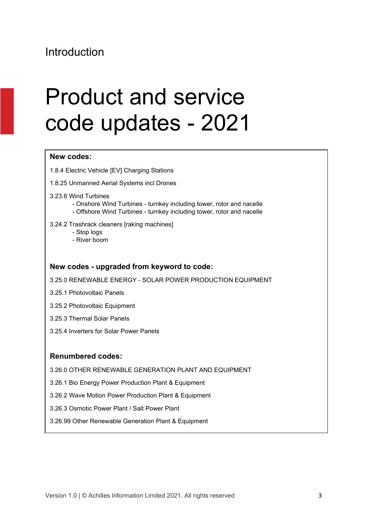#### Introduction

#### Product and service code updates - 2021

#### **New codes:**

1.8.4 Electric Vehicle [EV] Charging Stations

1.8.25 Unmanned Aerial Systems incl Drones

- 3.23.6 Wind Turbines
	- Onshore Wind Turbines turnkey including tower, rotor and nacelle
	- Offshore Wind Turbines turnkey including tower, rotor and nacelle

#### 3.24.2 Trashrack cleaners [raking machines]

- Stop logs
- River boom

#### **New codes - upgraded from keyword to code:**

3.25.0 RENEWABLE ENERGY - SOLAR POWER PRODUCTION EQUIPMENT

- 3.25.1 Photovoltaic Panels
- 3.25.2 Photovoltaic Equipment
- 3.25.3 Thermal Solar Panels
- 3.25.4 Inverters for Solar Power Panels

#### **Renumbered codes:**

3.26.0 OTHER RENEWABLE GENERATION PLANT AND EQUIPMENT

3.26.1 Bio Energy Power Production Plant & Equipment

3.26.2 Wave Motion Power Production Plant & Equipment

- 3.26.3 Osmotic Power Plant / Salt Power Plant
- 3.26.99 Other Renewable Generation Plant & Equipment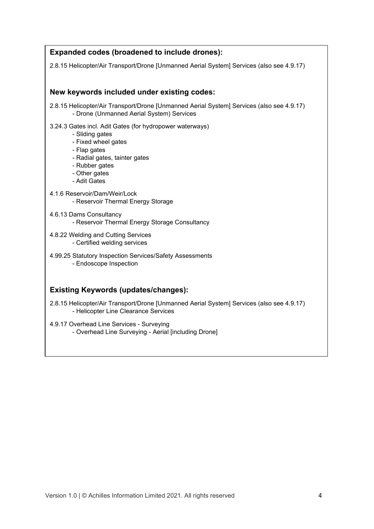| <b>Expanded codes (broadened to include drones):</b>                                                                                                                                                   |
|--------------------------------------------------------------------------------------------------------------------------------------------------------------------------------------------------------|
| 2.8.15 Helicopter/Air Transport/Drone [Unmanned Aerial System] Services (also see 4.9.17)                                                                                                              |
|                                                                                                                                                                                                        |
| New keywords included under existing codes:                                                                                                                                                            |
| 2.8.15 Helicopter/Air Transport/Drone [Unmanned Aerial System] Services (also see 4.9.17)<br>- Drone (Unmanned Aerial System) Services                                                                 |
| 3.24.3 Gates incl. Adit Gates (for hydropower waterways)<br>- Sliding gates<br>- Fixed wheel gates<br>- Flap gates<br>- Radial gates, tainter gates<br>- Rubber gates<br>- Other gates<br>- Adit Gates |
| 4.1.6 Reservoir/Dam/Weir/Lock<br>- Reservoir Thermal Energy Storage                                                                                                                                    |
| 4.6.13 Dams Consultancy<br>- Reservoir Thermal Energy Storage Consultancy                                                                                                                              |
| 4.8.22 Welding and Cutting Services<br>- Certified welding services                                                                                                                                    |
| 4.99.25 Statutory Inspection Services/Safety Assessments<br>- Endoscope Inspection                                                                                                                     |
| <b>Existing Keywords (updates/changes):</b>                                                                                                                                                            |

2.8.15 Helicopter/Air Transport/Drone [Unmanned Aerial System] Services (also see 4.9.17) - Helicopter Line Clearance Services

4.9.17 Overhead Line Services - Surveying - Overhead Line Surveying - Aerial [including Drone]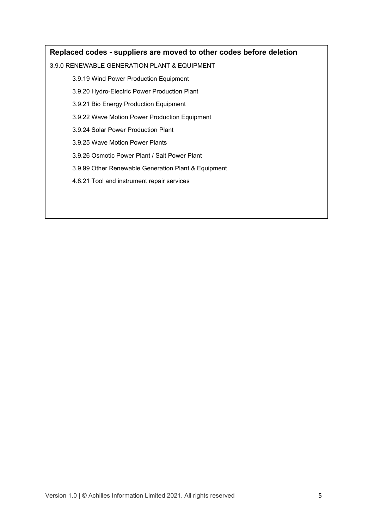#### **Replaced codes - suppliers are moved to other codes before deletion**

#### 3.9.0 RENEWABLE GENERATION PLANT & EQUIPMENT

3.9.19 Wind Power Production Equipment

3.9.20 Hydro-Electric Power Production Plant

3.9.21 Bio Energy Production Equipment

3.9.22 Wave Motion Power Production Equipment

3.9.24 Solar Power Production Plant

3.9.25 Wave Motion Power Plants

3.9.26 Osmotic Power Plant / Salt Power Plant

3.9.99 Other Renewable Generation Plant & Equipment

4.8.21 Tool and instrument repair services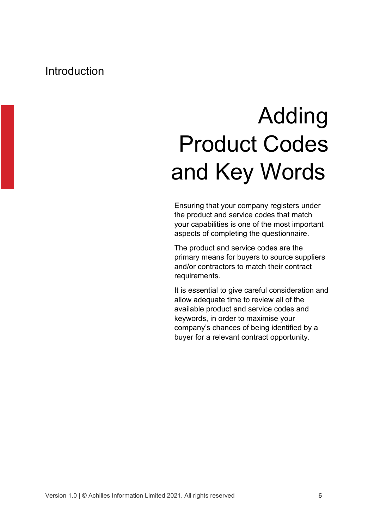#### Introduction

#### Adding Product Codes and Key Words

Ensuring that your company registers under the product and service codes that match your capabilities is one of the most important aspects of completing the questionnaire.

The product and service codes are the primary means for buyers to source suppliers and/or contractors to match their contract requirements.

It is essential to give careful consideration and allow adequate time to review all of the available product and service codes and keywords, in order to maximise your company's chances of being identified by a buyer for a relevant contract opportunity.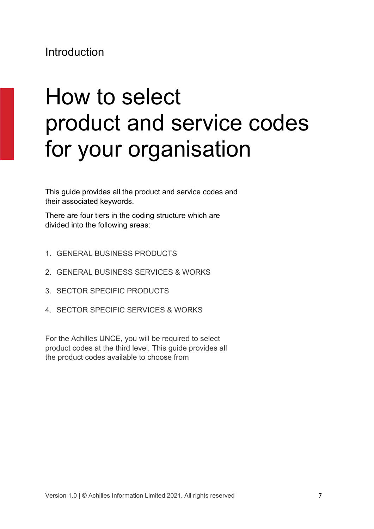#### Introduction

#### How to select product and service codes for your organisation

This guide provides all the product and service codes and their associated keywords.

There are four tiers in the coding structure which are divided into the following areas:

- 1. GENERAL BUSINESS PRODUCTS
- 2. GENERAL BUSINESS SERVICES & WORKS
- 3. SECTOR SPECIFIC PRODUCTS
- 4. SECTOR SPECIFIC SERVICES & WORKS

For the Achilles UNCE, you will be required to select product codes at the third level. This guide provides all the product codes available to choose from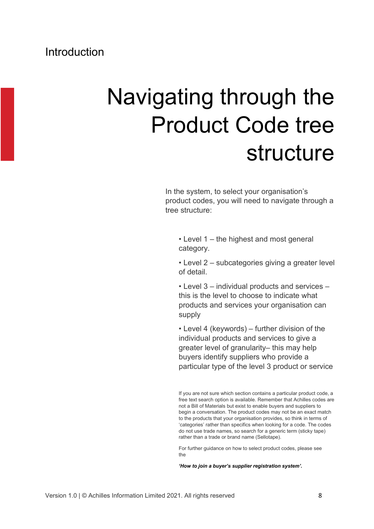#### Navigating through the Product Code tree structure

In the system, to select your organisation's product codes, you will need to navigate through a tree structure:

• Level 1 – the highest and most general category.

• Level 2 – subcategories giving a greater level of detail.

• Level 3 – individual products and services – this is the level to choose to indicate what products and services your organisation can supply

• Level 4 (keywords) – further division of the individual products and services to give a greater level of granularity– this may help buyers identify suppliers who provide a particular type of the level 3 product or service

If you are not sure which section contains a particular product code, a free text search option is available. Remember that Achilles codes are not a Bill of Materials but exist to enable buyers and suppliers to begin a conversation. The product codes may not be an exact match to the products that your organisation provides, so think in terms of 'categories' rather than specifics when looking for a code. The codes do not use trade names, so search for a generic term (sticky tape) rather than a trade or brand name (Sellotape).

For further guidance on how to select product codes, please see the

*'How to join a buyer's supplier registration system'.*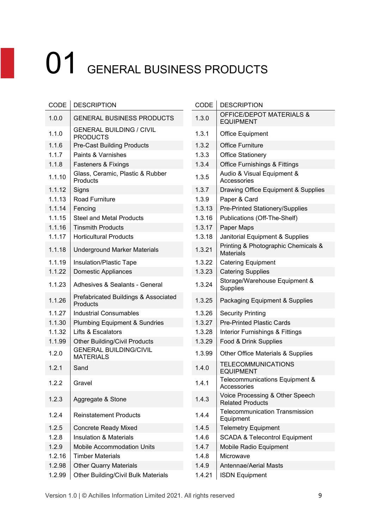| <b>CODE</b> | <b>DESCRIPTION</b>                                 | CODE   | <b>DESCRIPTION</b>                                         |
|-------------|----------------------------------------------------|--------|------------------------------------------------------------|
| 1.0.0       | <b>GENERAL BUSINESS PRODUCTS</b>                   | 1.3.0  | <b>OFFICE/DEPOT MATERIALS &amp;</b><br><b>EQUIPMENT</b>    |
| 1.1.0       | <b>GENERAL BUILDING / CIVIL</b><br><b>PRODUCTS</b> | 1.3.1  | Office Equipment                                           |
| 1.1.6       | <b>Pre-Cast Building Products</b>                  | 1.3.2  | <b>Office Furniture</b>                                    |
| 1.1.7       | Paints & Varnishes                                 | 1.3.3  | <b>Office Stationery</b>                                   |
| 1.1.8       | Fasteners & Fixings                                | 1.3.4  | <b>Office Furnishings &amp; Fittings</b>                   |
| 1.1.10      | Glass, Ceramic, Plastic & Rubber<br>Products       | 1.3.5  | Audio & Visual Equipment &<br>Accessories                  |
| 1.1.12      | Signs                                              | 1.3.7  | Drawing Office Equipment & Supplies                        |
| 1.1.13      | Road Furniture                                     | 1.3.9  | Paper & Card                                               |
| 1.1.14      | Fencing                                            | 1.3.13 | Pre-Printed Stationery/Supplies                            |
| 1.1.15      | <b>Steel and Metal Products</b>                    | 1.3.16 | Publications (Off-The-Shelf)                               |
| 1.1.16      | <b>Tinsmith Products</b>                           | 1.3.17 | Paper Maps                                                 |
| 1.1.17      | <b>Horticultural Products</b>                      | 1.3.18 | Janitorial Equipment & Supplies                            |
| 1.1.18      | <b>Underground Marker Materials</b>                | 1.3.21 | Printing & Photographic Chemicals &<br><b>Materials</b>    |
| 1.1.19      | Insulation/Plastic Tape                            | 1.3.22 | <b>Catering Equipment</b>                                  |
| 1.1.22      | <b>Domestic Appliances</b>                         | 1.3.23 | <b>Catering Supplies</b>                                   |
| 1.1.23      | Adhesives & Sealants - General                     | 1.3.24 | Storage/Warehouse Equipment &<br><b>Supplies</b>           |
| 1.1.26      | Prefabricated Buildings & Associated<br>Products   | 1.3.25 | Packaging Equipment & Supplies                             |
| 1.1.27      | <b>Industrial Consumables</b>                      | 1.3.26 | <b>Security Printing</b>                                   |
| 1.1.30      | <b>Plumbing Equipment &amp; Sundries</b>           | 1.3.27 | <b>Pre-Printed Plastic Cards</b>                           |
| 1.1.32      | Lifts & Escalators                                 | 1.3.28 | Interior Furnishings & Fittings                            |
| 1.1.99      | <b>Other Building/Civil Products</b>               | 1.3.29 | Food & Drink Supplies                                      |
| 1.2.0       | <b>GENERAL BUILDING/CIVIL</b><br><b>MATERIALS</b>  | 1.3.99 | Other Office Materials & Supplies                          |
| 1.2.1       | Sand                                               | 1.4.0  | <b>TELECOMMUNICATIONS</b><br><b>EQUIPMENT</b>              |
| 1.2.2       | Gravel                                             | 1.4.1  | Telecommunications Equipment &<br>Accessories              |
| 1.2.3       | Aggregate & Stone                                  | 1.4.3  | Voice Processing & Other Speech<br><b>Related Products</b> |
| 1.2.4       | <b>Reinstatement Products</b>                      | 1.4.4  | <b>Telecommunication Transmission</b><br>Equipment         |
| 1.2.5       | <b>Concrete Ready Mixed</b>                        | 1.4.5  | <b>Telemetry Equipment</b>                                 |
| 1.2.8       | <b>Insulation &amp; Materials</b>                  | 1.4.6  | <b>SCADA &amp; Telecontrol Equipment</b>                   |
| 1.2.9       | <b>Mobile Accommodation Units</b>                  | 1.4.7  | Mobile Radio Equipment                                     |
| 1.2.16      | <b>Timber Materials</b>                            | 1.4.8  | Microwave                                                  |
| 1.2.98      | <b>Other Quarry Materials</b>                      | 1.4.9  | <b>Antennae/Aerial Masts</b>                               |
| 1.2.99      | Other Building/Civil Bulk Materials                | 1.4.21 | <b>ISDN Equipment</b>                                      |

| CODE   | <b>DESCRIPTION</b>                                         |
|--------|------------------------------------------------------------|
| 1.3.0  | <b>OFFICE/DEPOT MATERIALS &amp;</b><br><b>EQUIPMENT</b>    |
| 1.3.1  | <b>Office Equipment</b>                                    |
| 1.3.2  | <b>Office Furniture</b>                                    |
| 1.3.3  | <b>Office Stationery</b>                                   |
| 1.3.4  | <b>Office Furnishings &amp; Fittings</b>                   |
| 1.3.5  | Audio & Visual Equipment &<br>Accessories                  |
| 1.3.7  | Drawing Office Equipment & Supplies                        |
| 1.3.9  | Paper & Card                                               |
| 1.3.13 | Pre-Printed Stationery/Supplies                            |
| 1.3.16 | Publications (Off-The-Shelf)                               |
| 1.3.17 | Paper Maps                                                 |
| 1.3.18 | Janitorial Equipment & Supplies                            |
| 1.3.21 | Printing & Photographic Chemicals &<br><b>Materials</b>    |
| 1.3.22 | <b>Catering Equipment</b>                                  |
| 1.3.23 | <b>Catering Supplies</b>                                   |
| 1.3.24 | Storage/Warehouse Equipment &<br>Supplies                  |
| 1.3.25 | Packaging Equipment & Supplies                             |
| 1.3.26 | <b>Security Printing</b>                                   |
| 1.3.27 | <b>Pre-Printed Plastic Cards</b>                           |
| 1.3.28 | Interior Furnishings & Fittings                            |
| 1.3.29 | Food & Drink Supplies                                      |
| 1.3.99 | Other Office Materials & Supplies                          |
| 1.4.0  | TELECOMMUNICATIONS<br><b>EQUIPMENT</b>                     |
| 1.4.1  | Telecommunications Equipment &<br>Accessories              |
| 1.4.3  | Voice Processing & Other Speech<br><b>Related Products</b> |
| 1.4.4  | <b>Telecommunication Transmission</b><br>Equipment         |
| 1.4.5  | <b>Telemetry Equipment</b>                                 |
| 1.4.6  | <b>SCADA &amp; Telecontrol Equipment</b>                   |
| 1.4.7  | Mobile Radio Equipment                                     |
| 1.4.8  | Microwave                                                  |
| 1.4.9  | <b>Antennae/Aerial Masts</b>                               |
| 1.4.21 | <b>ISDN Equipment</b>                                      |

Version 1.0 | © Achilles Information Limited 2021. All rights reserved 9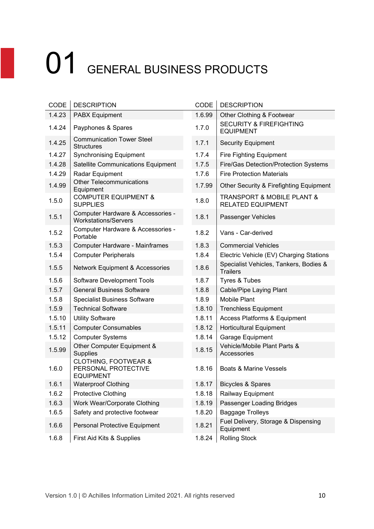| CODE   | <b>DESCRIPTION</b>                                                         | CODE   | <b>DESCRIPTION</b>                                                    |
|--------|----------------------------------------------------------------------------|--------|-----------------------------------------------------------------------|
| 1.4.23 | <b>PABX Equipment</b>                                                      | 1.6.99 | Other Clothing & Footwear                                             |
| 1.4.24 | Payphones & Spares                                                         | 1.7.0  | <b>SECURITY &amp; FIREFIGHTING</b><br><b>EQUIPMENT</b>                |
| 1.4.25 | <b>Communication Tower Steel</b><br><b>Structures</b>                      | 1.7.1  | <b>Security Equipment</b>                                             |
| 1.4.27 | <b>Synchronising Equipment</b>                                             | 1.7.4  | <b>Fire Fighting Equipment</b>                                        |
| 1.4.28 | Satellite Communications Equipment                                         | 1.7.5  | Fire/Gas Detection/Protection Systems                                 |
| 1.4.29 | Radar Equipment                                                            | 1.7.6  | <b>Fire Protection Materials</b>                                      |
| 1.4.99 | <b>Other Telecommunications</b><br>Equipment                               | 1.7.99 | Other Security & Firefighting Equipment                               |
| 1.5.0  | <b>COMPUTER EQUIPMENT &amp;</b><br><b>SUPPLIES</b>                         | 1.8.0  | <b>TRANSPORT &amp; MOBILE PLANT &amp;</b><br><b>RELATED EQUIPMENT</b> |
| 1.5.1  | Computer Hardware & Accessories -<br><b>Workstations/Servers</b>           | 1.8.1  | Passenger Vehicles                                                    |
| 1.5.2  | Computer Hardware & Accessories -<br>Portable                              | 1.8.2  | Vans - Car-derived                                                    |
| 1.5.3  | Computer Hardware - Mainframes                                             | 1.8.3  | <b>Commercial Vehicles</b>                                            |
| 1.5.4  | <b>Computer Peripherals</b>                                                | 1.8.4  | Electric Vehicle (EV) Charging Stations                               |
| 1.5.5  | <b>Network Equipment &amp; Accessories</b>                                 | 1.8.6  | Specialist Vehicles, Tankers, Bodies &<br><b>Trailers</b>             |
| 1.5.6  | Software Development Tools                                                 | 1.8.7  | Tyres & Tubes                                                         |
| 1.5.7  | <b>General Business Software</b>                                           | 1.8.8  | Cable/Pipe Laying Plant                                               |
| 1.5.8  | <b>Specialist Business Software</b>                                        | 1.8.9  | <b>Mobile Plant</b>                                                   |
| 1.5.9  | <b>Technical Software</b>                                                  | 1.8.10 | <b>Trenchless Equipment</b>                                           |
| 1.5.10 | <b>Utility Software</b>                                                    | 1.8.11 | Access Platforms & Equipment                                          |
| 1.5.11 | <b>Computer Consumables</b>                                                | 1.8.12 | <b>Horticultural Equipment</b>                                        |
| 1.5.12 | <b>Computer Systems</b>                                                    | 1.8.14 | Garage Equipment                                                      |
| 1.5.99 | Other Computer Equipment &<br><b>Supplies</b>                              | 1.8.15 | Vehicle/Mobile Plant Parts &<br>Accessories                           |
| 1.6.0  | <b>CLOTHING, FOOTWEAR &amp;</b><br>PERSONAL PROTECTIVE<br><b>EQUIPMENT</b> | 1.8.16 | <b>Boats &amp; Marine Vessels</b>                                     |
| 1.6.1  | <b>Waterproof Clothing</b>                                                 | 1.8.17 | Bicycles & Spares                                                     |
| 1.6.2  | Protective Clothing                                                        | 1.8.18 | Railway Equipment                                                     |
| 1.6.3  | Work Wear/Corporate Clothing                                               | 1.8.19 | Passenger Loading Bridges                                             |
| 1.6.5  | Safety and protective footwear                                             | 1.8.20 | <b>Baggage Trolleys</b>                                               |
| 1.6.6  | Personal Protective Equipment                                              | 1.8.21 | Fuel Delivery, Storage & Dispensing<br>Equipment                      |
| 1.6.8  | First Aid Kits & Supplies                                                  | 1.8.24 | <b>Rolling Stock</b>                                                  |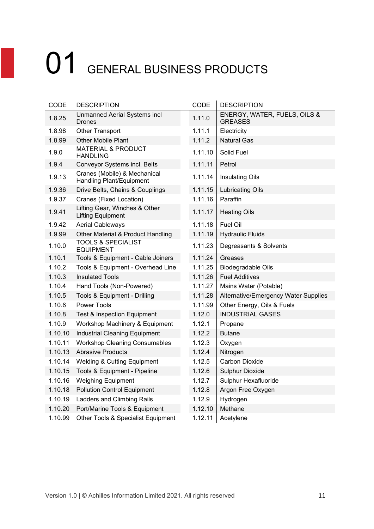| CODE    | <b>DESCRIPTION</b>                                        | CODE    | <b>DESCRIPTION</b>                             |
|---------|-----------------------------------------------------------|---------|------------------------------------------------|
| 1.8.25  | Unmanned Aerial Systems incl<br><b>Drones</b>             | 1.11.0  | ENERGY, WATER, FUELS, OILS &<br><b>GREASES</b> |
| 1.8.98  | Other Transport                                           | 1.11.1  | Electricity                                    |
| 1.8.99  | Other Mobile Plant                                        | 1.11.2  | <b>Natural Gas</b>                             |
| 1.9.0   | <b>MATERIAL &amp; PRODUCT</b><br><b>HANDLING</b>          | 1.11.10 | Solid Fuel                                     |
| 1.9.4   | Conveyor Systems incl. Belts                              | 1.11.11 | Petrol                                         |
| 1.9.13  | Cranes (Mobile) & Mechanical<br>Handling Plant/Equipment  | 1.11.14 | <b>Insulating Oils</b>                         |
| 1.9.36  | Drive Belts, Chains & Couplings                           | 1.11.15 | <b>Lubricating Oils</b>                        |
| 1.9.37  | Cranes (Fixed Location)                                   | 1.11.16 | Paraffin                                       |
| 1.9.41  | Lifting Gear, Winches & Other<br><b>Lifting Equipment</b> | 1.11.17 | <b>Heating Oils</b>                            |
| 1.9.42  | <b>Aerial Cableways</b>                                   | 1.11.18 | Fuel Oil                                       |
| 1.9.99  | Other Material & Product Handling                         | 1.11.19 | <b>Hydraulic Fluids</b>                        |
| 1.10.0  | <b>TOOLS &amp; SPECIALIST</b><br><b>EQUIPMENT</b>         | 1.11.23 | Degreasants & Solvents                         |
| 1.10.1  | Tools & Equipment - Cable Joiners                         | 1.11.24 | Greases                                        |
| 1.10.2  | Tools & Equipment - Overhead Line                         | 1.11.25 | Biodegradable Oils                             |
| 1.10.3  | <b>Insulated Tools</b>                                    | 1.11.26 | <b>Fuel Additives</b>                          |
| 1.10.4  | Hand Tools (Non-Powered)                                  | 1.11.27 | Mains Water (Potable)                          |
| 1.10.5  | Tools & Equipment - Drilling                              | 1.11.28 | Alternative/Emergency Water Supplies           |
| 1.10.6  | Power Tools                                               | 1.11.99 | Other Energy, Oils & Fuels                     |
| 1.10.8  | <b>Test &amp; Inspection Equipment</b>                    | 1.12.0  | <b>INDUSTRIAL GASES</b>                        |
| 1.10.9  | Workshop Machinery & Equipment                            | 1.12.1  | Propane                                        |
| 1.10.10 | <b>Industrial Cleaning Equipment</b>                      | 1.12.2  | <b>Butane</b>                                  |
| 1.10.11 | <b>Workshop Cleaning Consumables</b>                      | 1.12.3  | Oxygen                                         |
| 1.10.13 | <b>Abrasive Products</b>                                  | 1.12.4  | Nitrogen                                       |
| 1.10.14 | <b>Welding &amp; Cutting Equipment</b>                    | 1.12.5  | <b>Carbon Dioxide</b>                          |
| 1.10.15 | Tools & Equipment - Pipeline                              | 1.12.6  | <b>Sulphur Dioxide</b>                         |
| 1.10.16 | <b>Weighing Equipment</b>                                 | 1.12.7  | Sulphur Hexafluoride                           |
| 1.10.18 | <b>Pollution Control Equipment</b>                        | 1.12.8  | Argon Free Oxygen                              |
| 1.10.19 | Ladders and Climbing Rails                                | 1.12.9  | Hydrogen                                       |
| 1.10.20 | Port/Marine Tools & Equipment                             | 1.12.10 | Methane                                        |
| 1.10.99 | Other Tools & Specialist Equipment                        | 1.12.11 | Acetylene                                      |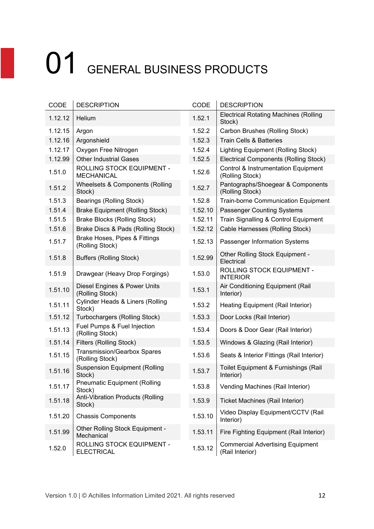| CODE    | <b>DESCRIPTION</b>                                    | CODE    | <b>DESCRIPTION</b>                                                |
|---------|-------------------------------------------------------|---------|-------------------------------------------------------------------|
| 1.12.12 | Helium                                                | 1.52.1  | <b>Electrical Rotating Machines (Rolling</b><br>Stock)            |
| 1.12.15 | Argon                                                 | 1.52.2  | Carbon Brushes (Rolling Stock)                                    |
| 1.12.16 | Argonshield                                           | 1.52.3  | <b>Train Cells &amp; Batteries</b>                                |
| 1.12.17 | Oxygen Free Nitrogen                                  | 1.52.4  | Lighting Equipment (Rolling Stock)                                |
| 1.12.99 | <b>Other Industrial Gases</b>                         | 1.52.5  | <b>Electrical Components (Rolling Stock)</b>                      |
| 1.51.0  | ROLLING STOCK EQUIPMENT -<br><b>MECHANICAL</b>        | 1.52.6  | <b>Control &amp; Instrumentation Equipment</b><br>(Rolling Stock) |
| 1.51.2  | Wheelsets & Components (Rolling<br>Stock)             | 1.52.7  | Pantographs/Shoegear & Components<br>(Rolling Stock)              |
| 1.51.3  | Bearings (Rolling Stock)                              | 1.52.8  | <b>Train-borne Communication Equipment</b>                        |
| 1.51.4  | <b>Brake Equipment (Rolling Stock)</b>                | 1.52.10 | <b>Passenger Counting Systems</b>                                 |
| 1.51.5  | <b>Brake Blocks (Rolling Stock)</b>                   | 1.52.11 | Train Signalling & Control Equipment                              |
| 1.51.6  | Brake Discs & Pads (Rolling Stock)                    | 1.52.12 | Cable Harnesses (Rolling Stock)                                   |
| 1.51.7  | Brake Hoses, Pipes & Fittings<br>(Rolling Stock)      | 1.52.13 | Passenger Information Systems                                     |
| 1.51.8  | <b>Buffers (Rolling Stock)</b>                        | 1.52.99 | Other Rolling Stock Equipment -<br>Electrical                     |
| 1.51.9  | Drawgear (Heavy Drop Forgings)                        | 1.53.0  | ROLLING STOCK EQUIPMENT -<br><b>INTERIOR</b>                      |
| 1.51.10 | Diesel Engines & Power Units<br>(Rolling Stock)       | 1.53.1  | Air Conditioning Equipment (Rail<br>Interior)                     |
| 1.51.11 | <b>Cylinder Heads &amp; Liners (Rolling</b><br>Stock) | 1.53.2  | Heating Equipment (Rail Interior)                                 |
| 1.51.12 | Turbochargers (Rolling Stock)                         | 1.53.3  | Door Locks (Rail Interior)                                        |
| 1.51.13 | Fuel Pumps & Fuel Injection<br>(Rolling Stock)        | 1.53.4  | Doors & Door Gear (Rail Interior)                                 |
| 1.51.14 | Filters (Rolling Stock)                               | 1.53.5  | Windows & Glazing (Rail Interior)                                 |
| 1.51.15 | <b>Transmission/Gearbox Spares</b><br>(Rolling Stock) | 1.53.6  | Seats & Interior Fittings (Rail Interior)                         |
| 1.51.16 | <b>Suspension Equipment (Rolling</b><br>Stock)        | 1.53.7  | Toilet Equipment & Furnishings (Rail<br>Interior)                 |
| 1.51.17 | <b>Pneumatic Equipment (Rolling</b><br>Stock)         | 1.53.8  | Vending Machines (Rail Interior)                                  |
| 1.51.18 | <b>Anti-Vibration Products (Rolling</b><br>Stock)     | 1.53.9  | <b>Ticket Machines (Rail Interior)</b>                            |
| 1.51.20 | <b>Chassis Components</b>                             | 1.53.10 | Video Display Equipment/CCTV (Rail<br>Interior)                   |
| 1.51.99 | Other Rolling Stock Equipment -<br>Mechanical         | 1.53.11 | Fire Fighting Equipment (Rail Interior)                           |
| 1.52.0  | ROLLING STOCK EQUIPMENT -<br><b>ELECTRICAL</b>        | 1.53.12 | <b>Commercial Advertising Equipment</b><br>(Rail Interior)        |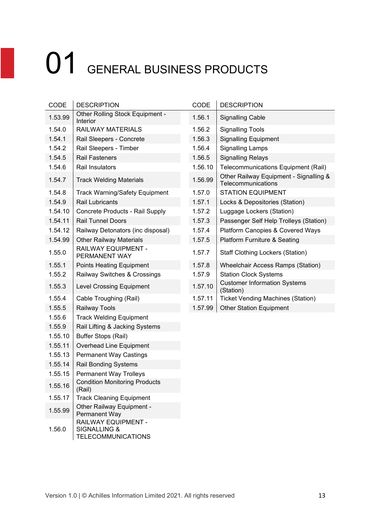| CODE    | <b>DESCRIPTION</b>                                                          | CODE    | <b>DESCRIPTION</b>                                      |
|---------|-----------------------------------------------------------------------------|---------|---------------------------------------------------------|
| 1.53.99 | Other Rolling Stock Equipment -<br>Interior                                 | 1.56.1  | <b>Signalling Cable</b>                                 |
| 1.54.0  | <b>RAILWAY MATERIALS</b>                                                    | 1.56.2  | <b>Signalling Tools</b>                                 |
| 1.54.1  | Rail Sleepers - Concrete                                                    | 1.56.3  | <b>Signalling Equipment</b>                             |
| 1.54.2  | Rail Sleepers - Timber                                                      | 1.56.4  | <b>Signalling Lamps</b>                                 |
| 1.54.5  | <b>Rail Fasteners</b>                                                       | 1.56.5  | <b>Signalling Relays</b>                                |
| 1.54.6  | Rail Insulators                                                             | 1.56.10 | <b>Telecommunications Equipment (F</b>                  |
| 1.54.7  | <b>Track Welding Materials</b>                                              | 1.56.99 | Other Railway Equipment - Signall<br>Telecommunications |
| 1.54.8  | <b>Track Warning/Safety Equipment</b>                                       | 1.57.0  | <b>STATION EQUIPMENT</b>                                |
| 1.54.9  | <b>Rail Lubricants</b>                                                      | 1.57.1  | Locks & Depositories (Station)                          |
| 1.54.10 | Concrete Products - Rail Supply                                             | 1.57.2  | Luggage Lockers (Station)                               |
| 1.54.11 | <b>Rail Tunnel Doors</b>                                                    | 1.57.3  | Passenger Self Help Trolleys (Stat                      |
| 1.54.12 | Railway Detonators (inc disposal)                                           | 1.57.4  | Platform Canopies & Covered Way                         |
| 1.54.99 | <b>Other Railway Materials</b>                                              | 1.57.5  | <b>Platform Furniture &amp; Seating</b>                 |
| 1.55.0  | RAILWAY EQUIPMENT -<br>PERMANENT WAY                                        | 1.57.7  | <b>Staff Clothing Lockers (Station)</b>                 |
| 1.55.1  | <b>Points Heating Equipment</b>                                             | 1.57.8  | <b>Wheelchair Access Ramps (Statio</b>                  |
| 1.55.2  | Railway Switches & Crossings                                                | 1.57.9  | <b>Station Clock Systems</b>                            |
| 1.55.3  | <b>Level Crossing Equipment</b>                                             | 1.57.10 | <b>Customer Information Systems</b><br>(Station)        |
| 1.55.4  | Cable Troughing (Rail)                                                      | 1.57.11 | <b>Ticket Vending Machines (Station)</b>                |
| 1.55.5  | Railway Tools                                                               | 1.57.99 | <b>Other Station Equipment</b>                          |
| 1.55.6  | <b>Track Welding Equipment</b>                                              |         |                                                         |
| 1.55.9  | Rail Lifting & Jacking Systems                                              |         |                                                         |
| 1.55.10 | <b>Buffer Stops (Rail)</b>                                                  |         |                                                         |
| 1.55.11 | Overhead Line Equipment                                                     |         |                                                         |
| 1.55.13 | <b>Permanent Way Castings</b>                                               |         |                                                         |
| 1.55.14 | <b>Rail Bonding Systems</b>                                                 |         |                                                         |
| 1.55.15 | <b>Permanent Way Trolleys</b>                                               |         |                                                         |
| 1.55.16 | <b>Condition Monitoring Products</b><br>(Rail)                              |         |                                                         |
| 1.55.17 | <b>Track Cleaning Equipment</b>                                             |         |                                                         |
| 1.55.99 | Other Railway Equipment -<br>Permanent Way                                  |         |                                                         |
| 1.56.0  | RAILWAY EQUIPMENT -<br><b>SIGNALLING &amp;</b><br><b>TELECOMMUNICATIONS</b> |         |                                                         |

| <b>CODE</b> | <b>DESCRIPTION</b>                          | CODE    | <b>DESCRIPTION</b>                                           |
|-------------|---------------------------------------------|---------|--------------------------------------------------------------|
| 1.53.99     | Other Rolling Stock Equipment -<br>Interior | 1.56.1  | <b>Signalling Cable</b>                                      |
| 1.54.0      | <b>RAILWAY MATERIALS</b>                    | 1.56.2  | <b>Signalling Tools</b>                                      |
| 1.54.1      | Rail Sleepers - Concrete                    | 1.56.3  | <b>Signalling Equipment</b>                                  |
| 1.54.2      | Rail Sleepers - Timber                      | 1.56.4  | <b>Signalling Lamps</b>                                      |
| 1.54.5      | <b>Rail Fasteners</b>                       | 1.56.5  | <b>Signalling Relays</b>                                     |
| 1.54.6      | Rail Insulators                             | 1.56.10 | Telecommunications Equipment (Rail)                          |
| 1.54.7      | <b>Track Welding Materials</b>              | 1.56.99 | Other Railway Equipment - Signalling &<br>Telecommunications |
| 1.54.8      | <b>Track Warning/Safety Equipment</b>       | 1.57.0  | <b>STATION EQUIPMENT</b>                                     |
| 1.54.9      | <b>Rail Lubricants</b>                      | 1.57.1  | Locks & Depositories (Station)                               |
| 1.54.10     | Concrete Products - Rail Supply             | 1.57.2  | Luggage Lockers (Station)                                    |
| 1.54.11     | <b>Rail Tunnel Doors</b>                    | 1.57.3  | Passenger Self Help Trolleys (Station)                       |
| 1.54.12     | Railway Detonators (inc disposal)           | 1.57.4  | <b>Platform Canopies &amp; Covered Ways</b>                  |
| 1.54.99     | <b>Other Railway Materials</b>              | 1.57.5  | Platform Furniture & Seating                                 |
| 1.55.0      | RAILWAY EQUIPMENT -<br>PERMANENT WAY        | 1.57.7  | <b>Staff Clothing Lockers (Station)</b>                      |
| 1.55.1      | Points Heating Equipment                    | 1.57.8  | <b>Wheelchair Access Ramps (Station)</b>                     |
| 1.55.2      | Railway Switches & Crossings                | 1.57.9  | <b>Station Clock Systems</b>                                 |
| 1.55.3      | <b>Level Crossing Equipment</b>             | 1.57.10 | <b>Customer Information Systems</b><br>(Station)             |
| 1.55.4      | Cable Troughing (Rail)                      | 1.57.11 | <b>Ticket Vending Machines (Station)</b>                     |
| 1.55.5      | Railway Tools                               | 1.57.99 | <b>Other Station Equipment</b>                               |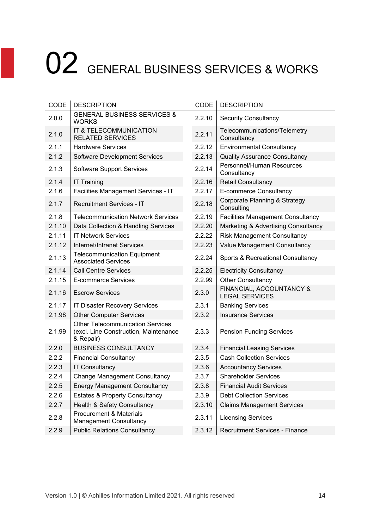| CODE   | <b>DESCRIPTION</b>                                                                            | CODE   | <b>DESCRIPTION</b>                                     |
|--------|-----------------------------------------------------------------------------------------------|--------|--------------------------------------------------------|
| 2.0.0  | <b>GENERAL BUSINESS SERVICES &amp;</b><br><b>WORKS</b>                                        | 2.2.10 | <b>Security Consultancy</b>                            |
| 2.1.0  | IT & TELECOMMUNICATION<br><b>RELATED SERVICES</b>                                             | 2.2.11 | Telecommunications/Telemetry<br>Consultancy            |
| 2.1.1  | <b>Hardware Services</b>                                                                      | 2.2.12 | <b>Environmental Consultancy</b>                       |
| 2.1.2  | <b>Software Development Services</b>                                                          | 2.2.13 | <b>Quality Assurance Consultancy</b>                   |
| 2.1.3  | <b>Software Support Services</b>                                                              | 2.2.14 | Personnel/Human Resources<br>Consultancy               |
| 2.1.4  | <b>IT Training</b>                                                                            | 2.2.16 | <b>Retail Consultancy</b>                              |
| 2.1.6  | Facilities Management Services - IT                                                           | 2.2.17 | <b>E-commerce Consultancy</b>                          |
| 2.1.7  | <b>Recruitment Services - IT</b>                                                              | 2.2.18 | <b>Corporate Planning &amp; Strategy</b><br>Consulting |
| 2.1.8  | <b>Telecommunication Network Services</b>                                                     | 2.2.19 | <b>Facilities Management Consultancy</b>               |
| 2.1.10 | Data Collection & Handling Services                                                           | 2.2.20 | Marketing & Advertising Consultancy                    |
| 2.1.11 | <b>IT Network Services</b>                                                                    | 2.2.22 | <b>Risk Management Consultancy</b>                     |
| 2.1.12 | <b>Internet/Intranet Services</b>                                                             | 2.2.23 | <b>Value Management Consultancy</b>                    |
| 2.1.13 | <b>Telecommunication Equipment</b><br><b>Associated Services</b>                              | 2.2.24 | Sports & Recreational Consultancy                      |
| 2.1.14 | <b>Call Centre Services</b>                                                                   | 2.2.25 | <b>Electricity Consultancy</b>                         |
| 2.1.15 | <b>E-commerce Services</b>                                                                    | 2.2.99 | <b>Other Consultancy</b>                               |
| 2.1.16 | <b>Escrow Services</b>                                                                        | 2.3.0  | FINANCIAL, ACCOUNTANCY &<br><b>LEGAL SERVICES</b>      |
| 2.1.17 | <b>IT Disaster Recovery Services</b>                                                          | 2.3.1  | <b>Banking Services</b>                                |
| 2.1.98 | <b>Other Computer Services</b>                                                                | 2.3.2  | <b>Insurance Services</b>                              |
| 2.1.99 | <b>Other Telecommunication Services</b><br>(excl. Line Construction, Maintenance<br>& Repair) | 2.3.3  | <b>Pension Funding Services</b>                        |
| 2.2.0  | <b>BUSINESS CONSULTANCY</b>                                                                   | 2.3.4  | <b>Financial Leasing Services</b>                      |
| 2.2.2  | <b>Financial Consultancy</b>                                                                  | 2.3.5  | <b>Cash Collection Services</b>                        |
| 2.2.3  | <b>IT Consultancy</b>                                                                         | 2.3.6  | <b>Accountancy Services</b>                            |
| 2.2.4  | <b>Change Management Consultancy</b>                                                          | 2.3.7  | <b>Shareholder Services</b>                            |
| 2.2.5  | <b>Energy Management Consultancy</b>                                                          | 2.3.8  | <b>Financial Audit Services</b>                        |
| 2.2.6  | <b>Estates &amp; Property Consultancy</b>                                                     | 2.3.9  | <b>Debt Collection Services</b>                        |
| 2.2.7  | Health & Safety Consultancy                                                                   | 2.3.10 | <b>Claims Management Services</b>                      |
| 2.2.8  | <b>Procurement &amp; Materials</b><br><b>Management Consultancy</b>                           | 2.3.11 | <b>Licensing Services</b>                              |
| 2.2.9  | <b>Public Relations Consultancy</b>                                                           | 2.3.12 | <b>Recruitment Services - Finance</b>                  |

| <b>DESCRIPTION</b>                                                                            | CODE   | <b>DESCRIPTION</b>                                |
|-----------------------------------------------------------------------------------------------|--------|---------------------------------------------------|
| <b>GENERAL BUSINESS SERVICES &amp;</b><br>WORKS                                               | 2.2.10 | <b>Security Consultancy</b>                       |
| IT & TELECOMMUNICATION<br><b>RELATED SERVICES</b>                                             | 2.2.11 | Telecommunications/Telemetry<br>Consultancy       |
| <b>Hardware Services</b>                                                                      | 2.2.12 | <b>Environmental Consultancy</b>                  |
| <b>Software Development Services</b>                                                          | 2.2.13 | <b>Quality Assurance Consultancy</b>              |
| <b>Software Support Services</b>                                                              | 2.2.14 | Personnel/Human Resources<br>Consultancy          |
| <b>IT Training</b>                                                                            | 2.2.16 | Retail Consultancy                                |
| Facilities Management Services - IT                                                           | 2.2.17 | E-commerce Consultancy                            |
| <b>Recruitment Services - IT</b>                                                              | 2.2.18 | Corporate Planning & Strategy<br>Consulting       |
| <b>Telecommunication Network Services</b>                                                     | 2.2.19 | <b>Facilities Management Consultancy</b>          |
| Data Collection & Handling Services                                                           | 2.2.20 | Marketing & Advertising Consultancy               |
| <b>IT Network Services</b>                                                                    | 2.2.22 | <b>Risk Management Consultancy</b>                |
| Internet/Intranet Services                                                                    | 2.2.23 | Value Management Consultancy                      |
| <b>Telecommunication Equipment</b><br><b>Associated Services</b>                              | 2.2.24 | Sports & Recreational Consultancy                 |
| <b>Call Centre Services</b>                                                                   | 2.2.25 | <b>Electricity Consultancy</b>                    |
| <b>E-commerce Services</b>                                                                    | 2.2.99 | <b>Other Consultancy</b>                          |
| <b>Escrow Services</b>                                                                        | 2.3.0  | FINANCIAL, ACCOUNTANCY &<br><b>LEGAL SERVICES</b> |
| <b>IT Disaster Recovery Services</b>                                                          | 2.3.1  | <b>Banking Services</b>                           |
| <b>Other Computer Services</b>                                                                | 2.3.2  | <b>Insurance Services</b>                         |
| <b>Other Telecommunication Services</b><br>(excl. Line Construction, Maintenance<br>& Repair) | 2.3.3  | <b>Pension Funding Services</b>                   |
| <b>BUSINESS CONSULTANCY</b>                                                                   | 2.3.4  | <b>Financial Leasing Services</b>                 |
| <b>Financial Consultancy</b>                                                                  | 2.3.5  | <b>Cash Collection Services</b>                   |
| <b>IT Consultancy</b>                                                                         | 2.3.6  | <b>Accountancy Services</b>                       |
| <b>Change Management Consultancy</b>                                                          | 2.3.7  | <b>Shareholder Services</b>                       |
| <b>Energy Management Consultancy</b>                                                          | 2.3.8  | <b>Financial Audit Services</b>                   |
| <b>Estates &amp; Property Consultancy</b>                                                     | 2.3.9  | <b>Debt Collection Services</b>                   |
| <b>Health &amp; Safety Consultancy</b>                                                        | 2.3.10 | <b>Claims Management Services</b>                 |
| <b>Procurement &amp; Materials</b><br><b>Management Consultancy</b>                           | 2.3.11 | <b>Licensing Services</b>                         |
| <b>Public Relations Consultancy</b>                                                           | 2.3.12 | <b>Recruitment Services - Finance</b>             |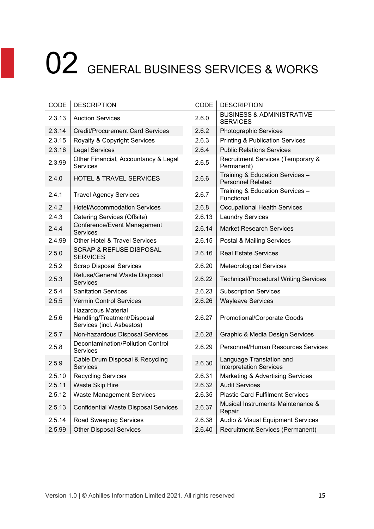| CODE   | <b>DESCRIPTION</b>                                                             | CODE   | <b>DESCRIPTION</b>                                          |
|--------|--------------------------------------------------------------------------------|--------|-------------------------------------------------------------|
| 2.3.13 | <b>Auction Services</b>                                                        | 2.6.0  | <b>BUSINESS &amp; ADMINISTRATIVE</b><br><b>SERVICES</b>     |
| 2.3.14 | <b>Credit/Procurement Card Services</b>                                        | 2.6.2  | Photographic Services                                       |
| 2.3.15 | Royalty & Copyright Services                                                   | 2.6.3  | <b>Printing &amp; Publication Services</b>                  |
| 2.3.16 | <b>Legal Services</b>                                                          | 2.6.4  | <b>Public Relations Services</b>                            |
| 2.3.99 | Other Financial, Accountancy & Legal<br><b>Services</b>                        | 2.6.5  | Recruitment Services (Temporary &<br>Permanent)             |
| 2.4.0  | <b>HOTEL &amp; TRAVEL SERVICES</b>                                             | 2.6.6  | Training & Education Services -<br><b>Personnel Related</b> |
| 2.4.1  | <b>Travel Agency Services</b>                                                  | 2.6.7  | Training & Education Services -<br>Functional               |
| 2.4.2  | <b>Hotel/Accommodation Services</b>                                            | 2.6.8  | <b>Occupational Health Services</b>                         |
| 2.4.3  | Catering Services (Offsite)                                                    | 2.6.13 | <b>Laundry Services</b>                                     |
| 2.4.4  | Conference/Event Management<br><b>Services</b>                                 | 2.6.14 | <b>Market Research Services</b>                             |
| 2.4.99 | <b>Other Hotel &amp; Travel Services</b>                                       | 2.6.15 | Postal & Mailing Services                                   |
| 2.5.0  | <b>SCRAP &amp; REFUSE DISPOSAL</b><br><b>SERVICES</b>                          | 2.6.16 | <b>Real Estate Services</b>                                 |
| 2.5.2  | <b>Scrap Disposal Services</b>                                                 | 2.6.20 | <b>Meteorological Services</b>                              |
| 2.5.3  | Refuse/General Waste Disposal<br><b>Services</b>                               | 2.6.22 | <b>Technical/Procedural Writing Services</b>                |
| 2.5.4  | <b>Sanitation Services</b>                                                     | 2.6.23 | <b>Subscription Services</b>                                |
| 2.5.5  | <b>Vermin Control Services</b>                                                 | 2.6.26 | <b>Wayleave Services</b>                                    |
| 2.5.6  | Hazardous Material<br>Handling/Treatment/Disposal<br>Services (incl. Asbestos) | 2.6.27 | Promotional/Corporate Goods                                 |
| 2.5.7  | Non-hazardous Disposal Services                                                | 2.6.28 | <b>Graphic &amp; Media Design Services</b>                  |
| 2.5.8  | Decontamination/Pollution Control<br><b>Services</b>                           | 2.6.29 | Personnel/Human Resources Services                          |
| 2.5.9  | Cable Drum Disposal & Recycling<br><b>Services</b>                             | 2.6.30 | Language Translation and<br><b>Interpretation Services</b>  |
| 2.5.10 | <b>Recycling Services</b>                                                      | 2.6.31 | Marketing & Advertising Services                            |
| 2.5.11 | Waste Skip Hire                                                                | 2.6.32 | <b>Audit Services</b>                                       |
| 2.5.12 | <b>Waste Management Services</b>                                               | 2.6.35 | <b>Plastic Card Fulfilment Services</b>                     |
| 2.5.13 | <b>Confidential Waste Disposal Services</b>                                    | 2.6.37 | Musical Instruments Maintenance &<br>Repair                 |
| 2.5.14 | Road Sweeping Services                                                         | 2.6.38 | Audio & Visual Equipment Services                           |
| 2.5.99 | <b>Other Disposal Services</b>                                                 | 2.6.40 | <b>Recruitment Services (Permanent)</b>                     |
|        |                                                                                |        |                                                             |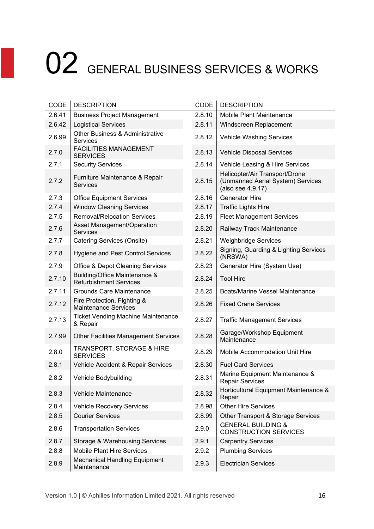| CODE   | <b>DESCRIPTION</b>                                             | CODE   | <b>DESCRIPTION</b>                                                                       |
|--------|----------------------------------------------------------------|--------|------------------------------------------------------------------------------------------|
| 2.6.41 | <b>Business Project Management</b>                             | 2.8.10 | Mobile Plant Maintenance                                                                 |
| 2.6.42 | <b>Logistical Services</b>                                     | 2.8.11 | Windscreen Replacement                                                                   |
| 2.6.99 | <b>Other Business &amp; Administrative</b><br>Services         | 2.8.12 | <b>Vehicle Washing Services</b>                                                          |
| 2.7.0  | <b>FACILITIES MANAGEMENT</b><br><b>SERVICES</b>                | 2.8.13 | <b>Vehicle Disposal Services</b>                                                         |
| 2.7.1  | <b>Security Services</b>                                       | 2.8.14 | Vehicle Leasing & Hire Services                                                          |
| 2.7.2  | Furniture Maintenance & Repair<br>Services                     | 2.8.15 | Helicopter/Air Transport/Drone<br>(Unmanned Aerial System) Services<br>(also see 4.9.17) |
| 2.7.3  | <b>Office Equipment Services</b>                               | 2.8.16 | <b>Generator Hire</b>                                                                    |
| 2.7.4  | <b>Window Cleaning Services</b>                                | 2.8.17 | <b>Traffic Lights Hire</b>                                                               |
| 2.7.5  | <b>Removal/Relocation Services</b>                             | 2.8.19 | <b>Fleet Management Services</b>                                                         |
| 2.7.6  | Asset Management/Operation<br><b>Services</b>                  | 2.8.20 | Railway Track Maintenance                                                                |
| 2.7.7  | Catering Services (Onsite)                                     | 2.8.21 | <b>Weighbridge Services</b>                                                              |
| 2.7.8  | Hygiene and Pest Control Services                              | 2.8.22 | Signing, Guarding & Lighting Services<br>(NRSWA)                                         |
| 2.7.9  | <b>Office &amp; Depot Cleaning Services</b>                    | 2.8.23 | Generator Hire (System Use)                                                              |
| 2.7.10 | Building/Office Maintenance &<br><b>Refurbishment Services</b> | 2.8.24 | <b>Tool Hire</b>                                                                         |
| 2.7.11 | <b>Grounds Care Maintenance</b>                                | 2.8.25 | <b>Boats/Marine Vessel Maintenance</b>                                                   |
| 2.7.12 | Fire Protection, Fighting &<br><b>Maintenance Services</b>     | 2.8.26 | <b>Fixed Crane Services</b>                                                              |
| 2.7.13 | <b>Ticket Vending Machine Maintenance</b><br>& Repair          | 2.8.27 | <b>Traffic Management Services</b>                                                       |
| 2.7.99 | <b>Other Facilities Management Services</b>                    | 2.8.28 | Garage/Workshop Equipment<br>Maintenance                                                 |
| 2.8.0  | TRANSPORT, STORAGE & HIRE<br><b>SERVICES</b>                   | 2.8.29 | Mobile Accommodation Unit Hire                                                           |
| 2.8.1  | Vehicle Accident & Repair Services                             | 2.8.30 | <b>Fuel Card Services</b>                                                                |
| 2.8.2  | Vehicle Bodybuilding                                           | 2.8.31 | Marine Equipment Maintenance &<br><b>Repair Services</b>                                 |
| 2.8.3  | Vehicle Maintenance                                            | 2.8.32 | Horticultural Equipment Maintenance &<br>Repair                                          |
| 2.8.4  | <b>Vehicle Recovery Services</b>                               | 2.8.98 | <b>Other Hire Services</b>                                                               |
| 2.8.5  | <b>Courier Services</b>                                        | 2.8.99 | Other Transport & Storage Services                                                       |
| 2.8.6  | <b>Transportation Services</b>                                 | 2.9.0  | <b>GENERAL BUILDING &amp;</b><br><b>CONSTRUCTION SERVICES</b>                            |
| 2.8.7  | Storage & Warehousing Services                                 | 2.9.1  | <b>Carpentry Services</b>                                                                |
| 2.8.8  | <b>Mobile Plant Hire Services</b>                              | 2.9.2  | <b>Plumbing Services</b>                                                                 |
| 2.8.9  | <b>Mechanical Handling Equipment</b><br>Maintenance            | 2.9.3  | <b>Electrician Services</b>                                                              |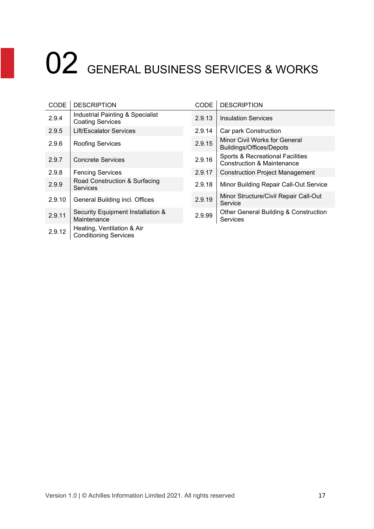| CODE   | <b>DESCRIPTION</b>                                          | CODE   | <b>DESCRIPTION</b>                                                        |
|--------|-------------------------------------------------------------|--------|---------------------------------------------------------------------------|
| 2.9.4  | Industrial Painting & Specialist<br><b>Coating Services</b> | 2.9.13 | <b>Insulation Services</b>                                                |
| 2.9.5  | <b>Lift/Escalator Services</b>                              | 2.9.14 | Car park Construction                                                     |
| 2.9.6  | <b>Roofing Services</b>                                     | 2.9.15 | Minor Civil Works for General<br><b>Buildings/Offices/Depots</b>          |
| 2.9.7  | <b>Concrete Services</b>                                    | 2.9.16 | Sports & Recreational Facilities<br><b>Construction &amp; Maintenance</b> |
| 2.9.8  | <b>Fencing Services</b>                                     | 2.9.17 | <b>Construction Project Management</b>                                    |
| 2.9.9  | Road Construction & Surfacing<br><b>Services</b>            | 2.9.18 | Minor Building Repair Call-Out Service                                    |
| 2.9.10 | General Building incl. Offices                              | 2.9.19 | Minor Structure/Civil Repair Call-Out<br>Service                          |
| 2.9.11 | Security Equipment Installation &<br>Maintenance            | 2.9.99 | <b>Other General Building &amp; Construction</b><br>Services              |
| 2.9.12 | Heating, Ventilation & Air<br><b>Conditioning Services</b>  |        |                                                                           |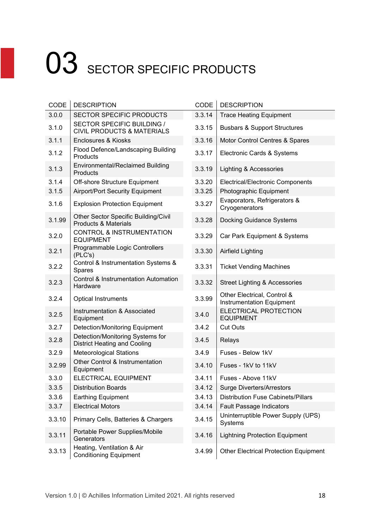| CODE   | <b>DESCRIPTION</b>                                                      | CODE   | <b>DESCRIPTION</b>                                       |
|--------|-------------------------------------------------------------------------|--------|----------------------------------------------------------|
| 3.0.0  | SECTOR SPECIFIC PRODUCTS                                                | 3.3.14 | <b>Trace Heating Equipment</b>                           |
| 3.1.0  | SECTOR SPECIFIC BUILDING /<br><b>CIVIL PRODUCTS &amp; MATERIALS</b>     | 3.3.15 | <b>Busbars &amp; Support Structures</b>                  |
| 3.1.1  | Enclosures & Kiosks                                                     | 3.3.16 | Motor Control Centres & Spares                           |
| 3.1.2  | Flood Defence/Landscaping Building<br>Products                          | 3.3.17 | Electronic Cards & Systems                               |
| 3.1.3  | <b>Environmental/Reclaimed Building</b><br>Products                     | 3.3.19 | Lighting & Accessories                                   |
| 3.1.4  | Off-shore Structure Equipment                                           | 3.3.20 | Electrical/Electronic Components                         |
| 3.1.5  | <b>Airport/Port Security Equipment</b>                                  | 3.3.25 | Photographic Equipment                                   |
| 3.1.6  | <b>Explosion Protection Equipment</b>                                   | 3.3.27 | Evaporators, Refrigerators &<br>Cryogenerators           |
| 3.1.99 | Other Sector Specific Building/Civil<br><b>Products &amp; Materials</b> | 3.3.28 | <b>Docking Guidance Systems</b>                          |
| 3.2.0  | <b>CONTROL &amp; INSTRUMENTATION</b><br><b>EQUIPMENT</b>                | 3.3.29 | Car Park Equipment & Systems                             |
| 3.2.1  | Programmable Logic Controllers<br>(PLC's)                               | 3.3.30 | Airfield Lighting                                        |
| 3.2.2  | Control & Instrumentation Systems &<br>Spares                           | 3.3.31 | <b>Ticket Vending Machines</b>                           |
| 3.2.3  | Control & Instrumentation Automation<br>Hardware                        | 3.3.32 | <b>Street Lighting &amp; Accessories</b>                 |
| 3.2.4  | <b>Optical Instruments</b>                                              | 3.3.99 | Other Electrical, Control &<br>Instrumentation Equipment |
| 3.2.5  | Instrumentation & Associated<br>Equipment                               | 3.4.0  | ELECTRICAL PROTECTION<br><b>EQUIPMENT</b>                |
| 3.2.7  | <b>Detection/Monitoring Equipment</b>                                   | 3.4.2  | <b>Cut Outs</b>                                          |
| 3.2.8  | Detection/Monitoring Systems for<br><b>District Heating and Cooling</b> | 3.4.5  | Relays                                                   |
| 3.2.9  | <b>Meteorological Stations</b>                                          | 3.4.9  | Fuses - Below 1kV                                        |
| 3.2.99 | Other Control & Instrumentation<br>Equipment                            | 3.4.10 | Fuses - 1kV to 11kV                                      |
| 3.3.0  | <b>ELECTRICAL EQUIPMENT</b>                                             | 3.4.11 | Fuses - Above 11kV                                       |
| 3.3.5  | <b>Distribution Boards</b>                                              | 3.4.12 | <b>Surge Diverters/Arrestors</b>                         |
| 3.3.6  | <b>Earthing Equipment</b>                                               | 3.4.13 | <b>Distribution Fuse Cabinets/Pillars</b>                |
| 3.3.7  | <b>Electrical Motors</b>                                                | 3.4.14 | <b>Fault Passage Indicators</b>                          |
| 3.3.10 | Primary Cells, Batteries & Chargers                                     | 3.4.15 | Uninterruptible Power Supply (UPS)<br>Systems            |
| 3.3.11 | Portable Power Supplies/Mobile<br>Generators                            | 3.4.16 | <b>Lightning Protection Equipment</b>                    |
| 3.3.13 | Heating, Ventilation & Air<br><b>Conditioning Equipment</b>             | 3.4.99 | <b>Other Electrical Protection Equipment</b>             |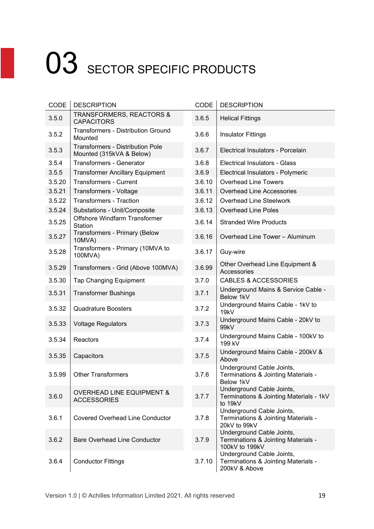| CODE   | <b>DESCRIPTION</b>                                                  | CODE   | <b>DESCRIPTION</b>                                                                 |
|--------|---------------------------------------------------------------------|--------|------------------------------------------------------------------------------------|
| 3.5.0  | <b>TRANSFORMERS, REACTORS &amp;</b><br><b>CAPACITORS</b>            | 3.6.5  | <b>Helical Fittings</b>                                                            |
| 3.5.2  | <b>Transformers - Distribution Ground</b><br>Mounted                | 3.6.6  | <b>Insulator Fittings</b>                                                          |
| 3.5.3  | <b>Transformers - Distribution Pole</b><br>Mounted (315kVA & Below) | 3.6.7  | Electrical Insulators - Porcelain                                                  |
| 3.5.4  | <b>Transformers - Generator</b>                                     | 3.6.8  | <b>Electrical Insulators - Glass</b>                                               |
| 3.5.5  | <b>Transformer Ancillary Equipment</b>                              | 3.6.9  | Electrical Insulators - Polymeric                                                  |
| 3.5.20 | <b>Transformers - Current</b>                                       | 3.6.10 | <b>Overhead Line Towers</b>                                                        |
| 3.5.21 | Transformers - Voltage                                              | 3.6.11 | <b>Overhead Line Accessories</b>                                                   |
| 3.5.22 | <b>Transformers - Traction</b>                                      | 3.6.12 | <b>Overhead Line Steelwork</b>                                                     |
| 3.5.24 | Substations - Unit/Composite                                        | 3.6.13 | <b>Overhead Line Poles</b>                                                         |
| 3.5.25 | Offshore Windfarm Transformer<br><b>Station</b>                     | 3.6.14 | <b>Stranded Wire Products</b>                                                      |
| 3.5.27 | Transformers - Primary (Below<br>10MVA)                             | 3.6.16 | Overhead Line Tower - Aluminum                                                     |
| 3.5.28 | Transformers - Primary (10MVA to<br>100MVA)                         | 3.6.17 | Guy-wire                                                                           |
| 3.5.29 | Transformers - Grid (Above 100MVA)                                  | 3.6.99 | Other Overhead Line Equipment &<br>Accessories                                     |
| 3.5.30 | <b>Tap Changing Equipment</b>                                       | 3.7.0  | <b>CABLES &amp; ACCESSORIES</b>                                                    |
| 3.5.31 | <b>Transformer Bushings</b>                                         | 3.7.1  | Underground Mains & Service Cable -<br>Below 1kV                                   |
| 3.5.32 | <b>Quadrature Boosters</b>                                          | 3.7.2  | Underground Mains Cable - 1kV to<br>19kV                                           |
| 3.5.33 | <b>Voltage Regulators</b>                                           | 3.7.3  | Underground Mains Cable - 20kV to<br>99kV                                          |
| 3.5.34 | Reactors                                                            | 3.7.4  | Underground Mains Cable - 100kV to<br>199 kV                                       |
| 3.5.35 | Capacitors                                                          | 3.7.5  | Underground Mains Cable - 200kV &<br>Above                                         |
| 3.5.99 | <b>Other Transformers</b>                                           | 3.7.6  | Underground Cable Joints,<br>Terminations & Jointing Materials -<br>Below 1kV      |
| 3.6.0  | <b>OVERHEAD LINE EQUIPMENT &amp;</b><br><b>ACCESSORIES</b>          | 3.7.7  | Underground Cable Joints,<br>Terminations & Jointing Materials - 1kV<br>to 19kV    |
| 3.6.1  | <b>Covered Overhead Line Conductor</b>                              | 3.7.8  | Underground Cable Joints,<br>Terminations & Jointing Materials -<br>20kV to 99kV   |
| 3.6.2  | <b>Bare Overhead Line Conductor</b>                                 | 3.7.9  | Underground Cable Joints,<br>Terminations & Jointing Materials -<br>100kV to 199kV |
| 3.6.4  | <b>Conductor Fittings</b>                                           | 3.7.10 | Underground Cable Joints,<br>Terminations & Jointing Materials -<br>200kV & Above  |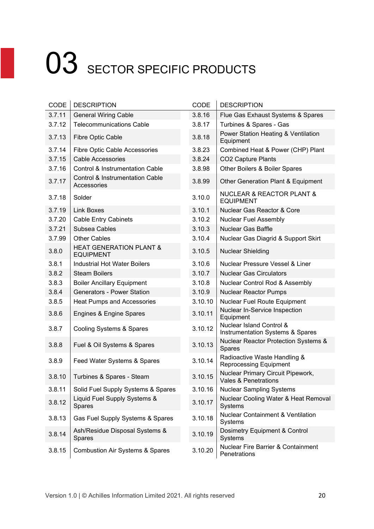| CODE   | <b>DESCRIPTION</b>                                        | CODE    | <b>DESCRIPTION</b>                                            |
|--------|-----------------------------------------------------------|---------|---------------------------------------------------------------|
| 3.7.11 | <b>General Wiring Cable</b>                               | 3.8.16  | Flue Gas Exhaust Systems & Spares                             |
| 3.7.12 | <b>Telecommunications Cable</b>                           | 3.8.17  | Turbines & Spares - Gas                                       |
| 3.7.13 | Fibre Optic Cable                                         | 3.8.18  | Power Station Heating & Ventilation<br>Equipment              |
| 3.7.14 | Fibre Optic Cable Accessories                             | 3.8.23  | Combined Heat & Power (CHP) Plant                             |
| 3.7.15 | <b>Cable Accessories</b>                                  | 3.8.24  | <b>CO2 Capture Plants</b>                                     |
| 3.7.16 | <b>Control &amp; Instrumentation Cable</b>                | 3.8.98  | Other Boilers & Boiler Spares                                 |
| 3.7.17 | <b>Control &amp; Instrumentation Cable</b><br>Accessories | 3.8.99  | Other Generation Plant & Equipment                            |
| 3.7.18 | Solder                                                    | 3.10.0  | <b>NUCLEAR &amp; REACTOR PLANT &amp;</b><br><b>EQUIPMENT</b>  |
| 3.7.19 | <b>Link Boxes</b>                                         | 3.10.1  | Nuclear Gas Reactor & Core                                    |
| 3.7.20 | <b>Cable Entry Cabinets</b>                               | 3.10.2  | <b>Nuclear Fuel Assembly</b>                                  |
| 3.7.21 | Subsea Cables                                             | 3.10.3  | <b>Nuclear Gas Baffle</b>                                     |
| 3.7.99 | <b>Other Cables</b>                                       | 3.10.4  | Nuclear Gas Diagrid & Support Skirt                           |
| 3.8.0  | <b>HEAT GENERATION PLANT &amp;</b><br><b>EQUIPMENT</b>    | 3.10.5  | <b>Nuclear Shielding</b>                                      |
| 3.8.1  | <b>Industrial Hot Water Boilers</b>                       | 3.10.6  | Nuclear Pressure Vessel & Liner                               |
| 3.8.2  | <b>Steam Boilers</b>                                      | 3.10.7  | <b>Nuclear Gas Circulators</b>                                |
| 3.8.3  | <b>Boiler Ancillary Equipment</b>                         | 3.10.8  | Nuclear Control Rod & Assembly                                |
| 3.8.4  | <b>Generators - Power Station</b>                         | 3.10.9  | <b>Nuclear Reactor Pumps</b>                                  |
| 3.8.5  | Heat Pumps and Accessories                                | 3.10.10 | Nuclear Fuel Route Equipment                                  |
| 3.8.6  | Engines & Engine Spares                                   | 3.10.11 | Nuclear In-Service Inspection<br>Equipment                    |
| 3.8.7  | Cooling Systems & Spares                                  | 3.10.12 | Nuclear Island Control &<br>Instrumentation Systems & Spares  |
| 3.8.8  | Fuel & Oil Systems & Spares                               | 3.10.13 | Nuclear Reactor Protection Systems &<br>Spares                |
| 3.8.9  | Feed Water Systems & Spares                               | 3.10.14 | Radioactive Waste Handling &<br><b>Reprocessing Equipment</b> |
| 3.8.10 | Turbines & Spares - Steam                                 | 3.10.15 | Nuclear Primary Circuit Pipework,<br>Vales & Penetrations     |
| 3.8.11 | Solid Fuel Supply Systems & Spares                        | 3.10.16 | <b>Nuclear Sampling Systems</b>                               |
| 3.8.12 | Liquid Fuel Supply Systems &<br>Spares                    | 3.10.17 | Nuclear Cooling Water & Heat Removal<br>Systems               |
| 3.8.13 | Gas Fuel Supply Systems & Spares                          | 3.10.18 | Nuclear Containment & Ventilation<br>Systems                  |
| 3.8.14 | Ash/Residue Disposal Systems &<br>Spares                  | 3.10.19 | Dosimetry Equipment & Control<br>Systems                      |
| 3.8.15 | <b>Combustion Air Systems &amp; Spares</b>                | 3.10.20 | Nuclear Fire Barrier & Containment<br>Penetrations            |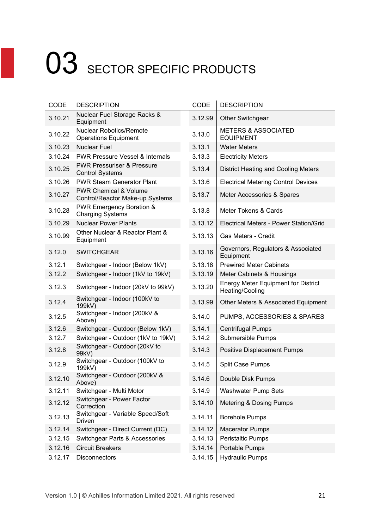| CODE    | <b>DESCRIPTION</b>                                                  | <b>CODE</b> | <b>DESCRIPTION</b>                                            |
|---------|---------------------------------------------------------------------|-------------|---------------------------------------------------------------|
| 3.10.21 | Nuclear Fuel Storage Racks &<br>Equipment                           | 3.12.99     | Other Switchgear                                              |
| 3.10.22 | <b>Nuclear Robotics/Remote</b><br><b>Operations Equipment</b>       | 3.13.0      | <b>METERS &amp; ASSOCIATED</b><br><b>EQUIPMENT</b>            |
| 3.10.23 | <b>Nuclear Fuel</b>                                                 | 3.13.1      | <b>Water Meters</b>                                           |
| 3.10.24 | <b>PWR Pressure Vessel &amp; Internals</b>                          | 3.13.3      | <b>Electricity Meters</b>                                     |
| 3.10.25 | <b>PWR Pressuriser &amp; Pressure</b><br><b>Control Systems</b>     | 3.13.4      | <b>District Heating and Cooling Meters</b>                    |
| 3.10.26 | <b>PWR Steam Generator Plant</b>                                    | 3.13.6      | <b>Electrical Metering Control Devices</b>                    |
| 3.10.27 | <b>PWR Chemical &amp; Volume</b><br>Control/Reactor Make-up Systems | 3.13.7      | Meter Accessories & Spares                                    |
| 3.10.28 | <b>PWR Emergency Boration &amp;</b><br><b>Charging Systems</b>      | 3.13.8      | Meter Tokens & Cards                                          |
| 3.10.29 | <b>Nuclear Power Plants</b>                                         | 3.13.12     | Electrical Meters - Power Station/Grid                        |
| 3.10.99 | Other Nuclear & Reactor Plant &<br>Equipment                        | 3.13.13     | Gas Meters - Credit                                           |
| 3.12.0  | <b>SWITCHGEAR</b>                                                   | 3.13.16     | Governors, Regulators & Associated<br>Equipment               |
| 3.12.1  | Switchgear - Indoor (Below 1kV)                                     | 3.13.18     | <b>Prewired Meter Cabinets</b>                                |
| 3.12.2  | Switchgear - Indoor (1kV to 19kV)                                   | 3.13.19     | Meter Cabinets & Housings                                     |
| 3.12.3  | Switchgear - Indoor (20kV to 99kV)                                  | 3.13.20     | <b>Energy Meter Equipment for District</b><br>Heating/Cooling |
| 3.12.4  | Switchgear - Indoor (100kV to<br>199kV)                             | 3.13.99     | Other Meters & Associated Equipment                           |
| 3.12.5  | Switchgear - Indoor (200kV &<br>Above)                              | 3.14.0      | PUMPS, ACCESSORIES & SPARES                                   |
| 3.12.6  | Switchgear - Outdoor (Below 1kV)                                    | 3.14.1      | <b>Centrifugal Pumps</b>                                      |
| 3.12.7  | Switchgear - Outdoor (1kV to 19kV)                                  | 3.14.2      | <b>Submersible Pumps</b>                                      |
| 3.12.8  | Switchgear - Outdoor (20kV to<br>99kV)                              | 3.14.3      | <b>Positive Displacement Pumps</b>                            |
| 3.12.9  | Switchgear - Outdoor (100kV to<br>199kV)                            | 3.14.5      | Split Case Pumps                                              |
| 3.12.10 | Switchgear - Outdoor (200kV &<br>Above)                             | 3.14.6      | Double Disk Pumps                                             |
| 3.12.11 | Switchgear - Multi Motor                                            | 3.14.9      | <b>Washwater Pump Sets</b>                                    |
| 3.12.12 | Switchgear - Power Factor<br>Correction                             | 3.14.10     | Metering & Dosing Pumps                                       |
| 3.12.13 | Switchgear - Variable Speed/Soft<br>Driven                          | 3.14.11     | <b>Borehole Pumps</b>                                         |
| 3.12.14 | Switchgear - Direct Current (DC)                                    | 3.14.12     | <b>Macerator Pumps</b>                                        |
| 3.12.15 | Switchgear Parts & Accessories                                      | 3.14.13     | Peristaltic Pumps                                             |
| 3.12.16 | <b>Circuit Breakers</b>                                             | 3.14.14     | Portable Pumps                                                |
| 3.12.17 | <b>Disconnectors</b>                                                | 3.14.15     | <b>Hydraulic Pumps</b>                                        |

| CODE    | <b>DESCRIPTION</b>                                            |
|---------|---------------------------------------------------------------|
| 3.12.99 | <b>Other Switchgear</b>                                       |
| 3.13.0  | <b>METERS &amp; ASSOCIATED</b><br><b>EQUIPMENT</b>            |
| 3.13.1  | <b>Water Meters</b>                                           |
| 3.13.3  | <b>Electricity Meters</b>                                     |
| 3.13.4  | <b>District Heating and Cooling Meters</b>                    |
| 3.13.6  | <b>Electrical Metering Control Devices</b>                    |
| 3.13.7  | Meter Accessories & Spares                                    |
| 3.13.8  | Meter Tokens & Cards                                          |
| 3.13.12 | Electrical Meters - Power Station/Grid                        |
| 3.13.13 | Gas Meters - Credit                                           |
| 3.13.16 | Governors, Regulators & Associated<br>Equipment               |
| 3.13.18 | <b>Prewired Meter Cabinets</b>                                |
| 3.13.19 | Meter Cabinets & Housings                                     |
| 3.13.20 | <b>Energy Meter Equipment for District</b><br>Heating/Cooling |
| 3.13.99 | Other Meters & Associated Equipment                           |
| 3.14.0  | PUMPS, ACCESSORIES & SPARES                                   |
| 3.14.1  | Centrifugal Pumps                                             |
| 3.14.2  | Submersible Pumps                                             |
| 3.14.3  | <b>Positive Displacement Pumps</b>                            |
| 3.14.5  | <b>Split Case Pumps</b>                                       |
| 3.14.6  | Double Disk Pumps                                             |
| 3.14.9  | <b>Washwater Pump Sets</b>                                    |
| 3.14.10 | Metering & Dosing Pumps                                       |
| 3.14.11 | <b>Borehole Pumps</b>                                         |
| 3.14.12 | <b>Macerator Pumps</b>                                        |
| 3.14.13 | <b>Peristaltic Pumps</b>                                      |
| 3.14.14 | Portable Pumps                                                |
| 31415   | Hydraulic Pumne                                               |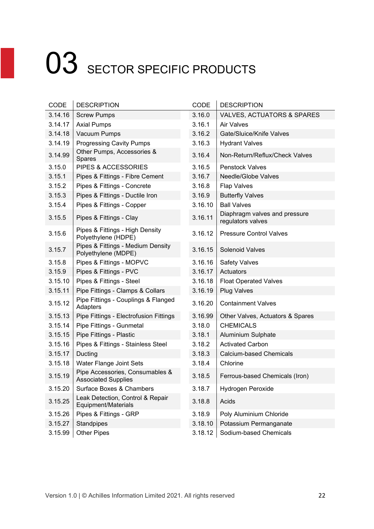| CODE    | <b>DESCRIPTION</b>                                            | <b>CODE</b> | <b>DESCRIPTION</b>                                 |
|---------|---------------------------------------------------------------|-------------|----------------------------------------------------|
| 3.14.16 | <b>Screw Pumps</b>                                            | 3.16.0      | <b>VALVES, ACTUATORS &amp; SPARES</b>              |
| 3.14.17 | <b>Axial Pumps</b>                                            | 3.16.1      | Air Valves                                         |
| 3.14.18 | Vacuum Pumps                                                  | 3.16.2      | Gate/Sluice/Knife Valves                           |
| 3.14.19 | <b>Progressing Cavity Pumps</b>                               | 3.16.3      | <b>Hydrant Valves</b>                              |
| 3.14.99 | Other Pumps, Accessories &<br>Spares                          | 3.16.4      | Non-Return/Reflux/Check Valves                     |
| 3.15.0  | PIPES & ACCESSORIES                                           | 3.16.5      | <b>Penstock Valves</b>                             |
| 3.15.1  | Pipes & Fittings - Fibre Cement                               | 3.16.7      | Needle/Globe Valves                                |
| 3.15.2  | Pipes & Fittings - Concrete                                   | 3.16.8      | <b>Flap Valves</b>                                 |
| 3.15.3  | Pipes & Fittings - Ductile Iron                               | 3.16.9      | <b>Butterfly Valves</b>                            |
| 3.15.4  | Pipes & Fittings - Copper                                     | 3.16.10     | <b>Ball Valves</b>                                 |
| 3.15.5  | Pipes & Fittings - Clay                                       | 3.16.11     | Diaphragm valves and pressure<br>regulators valves |
| 3.15.6  | Pipes & Fittings - High Density<br>Polyethylene (HDPE)        | 3.16.12     | <b>Pressure Control Valves</b>                     |
| 3.15.7  | Pipes & Fittings - Medium Density<br>Polyethylene (MDPE)      | 3.16.15     | <b>Solenoid Valves</b>                             |
| 3.15.8  | Pipes & Fittings - MOPVC                                      | 3.16.16     | <b>Safety Valves</b>                               |
| 3.15.9  | Pipes & Fittings - PVC                                        | 3.16.17     | Actuators                                          |
| 3.15.10 | Pipes & Fittings - Steel                                      | 3.16.18     | <b>Float Operated Valves</b>                       |
| 3.15.11 | Pipe Fittings - Clamps & Collars                              | 3.16.19     | <b>Plug Valves</b>                                 |
| 3.15.12 | Pipe Fittings - Couplings & Flanged<br>Adapters               | 3.16.20     | <b>Containment Valves</b>                          |
| 3.15.13 | Pipe Fittings - Electrofusion Fittings                        | 3.16.99     | Other Valves, Actuators & Spares                   |
| 3.15.14 | Pipe Fittings - Gunmetal                                      | 3.18.0      | <b>CHEMICALS</b>                                   |
| 3.15.15 | Pipe Fittings - Plastic                                       | 3.18.1      | Aluminium Sulphate                                 |
| 3.15.16 | Pipes & Fittings - Stainless Steel                            | 3.18.2      | <b>Activated Carbon</b>                            |
| 3.15.17 | Ducting                                                       | 3.18.3      | <b>Calcium-based Chemicals</b>                     |
| 3.15.18 | Water Flange Joint Sets                                       | 3.18.4      | Chlorine                                           |
| 3.15.19 | Pipe Accessories, Consumables &<br><b>Associated Supplies</b> | 3.18.5      | Ferrous-based Chemicals (Iron)                     |
| 3.15.20 | Surface Boxes & Chambers                                      | 3.18.7      | Hydrogen Peroxide                                  |
| 3.15.25 | Leak Detection, Control & Repair<br>Equipment/Materials       | 3.18.8      | Acids                                              |
| 3.15.26 | Pipes & Fittings - GRP                                        | 3.18.9      | Poly Aluminium Chloride                            |
| 3.15.27 | Standpipes                                                    | 3.18.10     | Potassium Permanganate                             |
| 3.15.99 | <b>Other Pipes</b>                                            | 3.18.12     | Sodium-based Chemicals                             |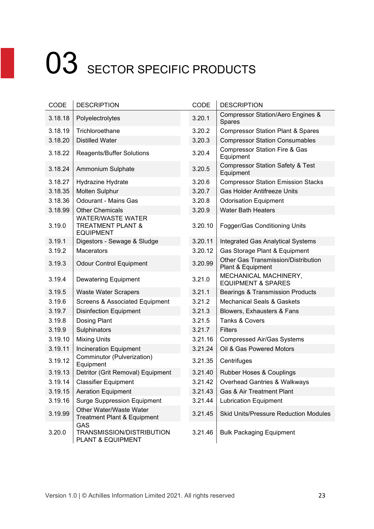| CODE    | <b>DESCRIPTION</b>                                                           | CODE    | <b>DESCRIPTION</b>                                       |
|---------|------------------------------------------------------------------------------|---------|----------------------------------------------------------|
| 3.18.18 | Polyelectrolytes                                                             | 3.20.1  | Compressor Station/Aero Engines &<br>Spares              |
| 3.18.19 | Trichloroethane                                                              | 3.20.2  | <b>Compressor Station Plant &amp; Spares</b>             |
| 3.18.20 | <b>Distilled Water</b>                                                       | 3.20.3  | <b>Compressor Station Consumables</b>                    |
| 3.18.22 | <b>Reagents/Buffer Solutions</b>                                             | 3.20.4  | <b>Compressor Station Fire &amp; Gas</b><br>Equipment    |
| 3.18.24 | Ammonium Sulphate                                                            | 3.20.5  | <b>Compressor Station Safety &amp; Test</b><br>Equipment |
| 3.18.27 | Hydrazine Hydrate                                                            | 3.20.6  | <b>Compressor Station Emission Stacks</b>                |
| 3.18.35 | Molten Sulphur                                                               | 3.20.7  | <b>Gas Holder Antifreeze Units</b>                       |
| 3.18.36 | <b>Odourant - Mains Gas</b>                                                  | 3.20.8  | <b>Odorisation Equipment</b>                             |
| 3.18.99 | <b>Other Chemicals</b>                                                       | 3.20.9  | <b>Water Bath Heaters</b>                                |
| 3.19.0  | <b>WATER/WASTE WATER</b><br><b>TREATMENT PLANT &amp;</b><br><b>EQUIPMENT</b> | 3.20.10 | Fogger/Gas Conditioning Units                            |
| 3.19.1  | Digestors - Sewage & Sludge                                                  | 3.20.11 | <b>Integrated Gas Analytical Systems</b>                 |
| 3.19.2  | Macerators                                                                   | 3.20.12 | Gas Storage Plant & Equipment                            |
| 3.19.3  | <b>Odour Control Equipment</b>                                               | 3.20.99 | Other Gas Transmission/Distribution<br>Plant & Equipment |
| 3.19.4  | <b>Dewatering Equipment</b>                                                  | 3.21.0  | MECHANICAL MACHINERY,<br><b>EQUIPMENT &amp; SPARES</b>   |
| 3.19.5  | <b>Waste Water Scrapers</b>                                                  | 3.21.1  | <b>Bearings &amp; Transmission Products</b>              |
| 3.19.6  | <b>Screens &amp; Associated Equipment</b>                                    | 3.21.2  | <b>Mechanical Seals &amp; Gaskets</b>                    |
| 3.19.7  | <b>Disinfection Equipment</b>                                                | 3.21.3  | Blowers, Exhausters & Fans                               |
| 3.19.8  | Dosing Plant                                                                 | 3.21.5  | Tanks & Covers                                           |
| 3.19.9  | Sulphinators                                                                 | 3.21.7  | <b>Filters</b>                                           |
| 3.19.10 | <b>Mixing Units</b>                                                          | 3.21.16 | <b>Compressed Air/Gas Systems</b>                        |
| 3.19.11 | <b>Incineration Equipment</b>                                                | 3.21.24 | Oil & Gas Powered Motors                                 |
| 3.19.12 | Comminutor (Pulverization)<br>Equipment                                      | 3.21.35 | Centrifuges                                              |
| 3.19.13 | Detritor (Grit Removal) Equipment                                            | 3.21.40 | Rubber Hoses & Couplings                                 |
| 3.19.14 | <b>Classifier Equipment</b>                                                  | 3.21.42 | Overhead Gantries & Walkways                             |
| 3.19.15 | <b>Aeration Equipment</b>                                                    | 3.21.43 | Gas & Air Treatment Plant                                |
| 3.19.16 | <b>Surge Suppression Equipment</b>                                           | 3.21.44 | <b>Lubrication Equipment</b>                             |
| 3.19.99 | Other Water/Waste Water<br><b>Treatment Plant &amp; Equipment</b>            | 3.21.45 | <b>Skid Units/Pressure Reduction Modules</b>             |
| 3.20.0  | GAS<br>TRANSMISSION/DISTRIBUTION<br>PLANT & EQUIPMENT                        | 3.21.46 | <b>Bulk Packaging Equipment</b>                          |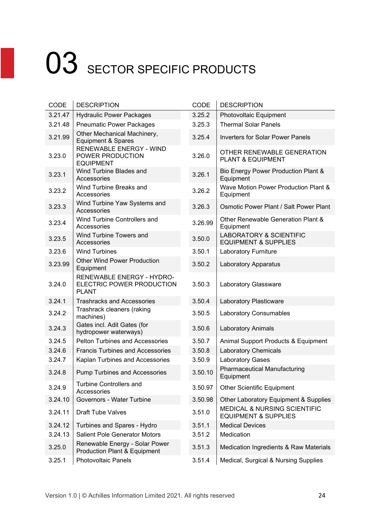| CODE    | <b>DESCRIPTION</b>                                                     | CODE    | <b>DESCRIPTION</b>                                                         |
|---------|------------------------------------------------------------------------|---------|----------------------------------------------------------------------------|
| 3.21.47 | <b>Hydraulic Power Packages</b>                                        | 3.25.2  | Photovoltaic Equipment                                                     |
| 3.21.48 | <b>Pneumatic Power Packages</b>                                        | 3.25.3  | <b>Thermal Solar Panels</b>                                                |
| 3.21.99 | Other Mechanical Machinery,<br><b>Equipment &amp; Spares</b>           | 3.25.4  | <b>Inverters for Solar Power Panels</b>                                    |
| 3.23.0  | <b>RENEWABLE ENERGY - WIND</b><br>POWER PRODUCTION<br><b>EQUIPMENT</b> | 3.26.0  | OTHER RENEWABLE GENERATION<br>PLANT & EQUIPMENT                            |
| 3.23.1  | Wind Turbine Blades and<br>Accessories                                 | 3.26.1  | Bio Energy Power Production Plant &<br>Equipment                           |
| 3.23.2  | Wind Turbine Breaks and<br>Accessories                                 | 3.26.2  | Wave Motion Power Production Plant &<br>Equipment                          |
| 3.23.3  | Wind Turbine Yaw Systems and<br>Accessories                            | 3.26.3  | Osmotic Power Plant / Salt Power Plant                                     |
| 3.23.4  | Wind Turbine Controllers and<br>Accessories                            | 3.26.99 | Other Renewable Generation Plant &<br>Equipment                            |
| 3.23.5  | Wind Turbine Towers and<br>Accessories                                 | 3.50.0  | <b>LABORATORY &amp; SCIENTIFIC</b><br><b>EQUIPMENT &amp; SUPPLIES</b>      |
| 3.23.6  | <b>Wind Turbines</b>                                                   | 3.50.1  | Laboratory Furniture                                                       |
| 3.23.99 | <b>Other Wind Power Production</b><br>Equipment                        | 3.50.2  | Laboratory Apparatus                                                       |
| 3.24.0  | RENEWABLE ENERGY - HYDRO-<br>ELECTRIC POWER PRODUCTION<br><b>PLANT</b> | 3.50.3  | Laboratory Glassware                                                       |
| 3.24.1  | <b>Trashracks and Accessories</b>                                      | 3.50.4  | Laboratory Plasticware                                                     |
| 3.24.2  | Trashrack cleaners (raking<br>machines)                                | 3.50.5  | Laboratory Consumables                                                     |
| 3.24.3  | Gates incl. Adit Gates (for<br>hydropower waterways)                   | 3.50.6  | <b>Laboratory Animals</b>                                                  |
| 3.24.5  | <b>Pelton Turbines and Accessories</b>                                 | 3.50.7  | Animal Support Products & Equipment                                        |
| 3.24.6  | <b>Francis Turbines and Accessories</b>                                | 3.50.8  | <b>Laboratory Chemicals</b>                                                |
| 3.24.7  | Kaplan Turbines and Accessories                                        | 3.50.9  | <b>Laboratory Gases</b>                                                    |
| 3.24.8  | <b>Pump Turbines and Accessories</b>                                   | 3.50.10 | <b>Pharmaceutical Manufacturing</b><br>Equipment                           |
| 3.24.9  | <b>Turbine Controllers and</b><br>Accessories                          | 3.50.97 | <b>Other Scientific Equipment</b>                                          |
| 3.24.10 | Governors - Water Turbine                                              | 3.50.98 | Other Laboratory Equipment & Supplies                                      |
| 3.24.11 | <b>Draft Tube Valves</b>                                               | 3.51.0  | <b>MEDICAL &amp; NURSING SCIENTIFIC</b><br><b>EQUIPMENT &amp; SUPPLIES</b> |
| 3.24.12 | Turbines and Spares - Hydro                                            | 3.51.1  | <b>Medical Devices</b>                                                     |
| 3.24.13 | <b>Salient Pole Generator Motors</b>                                   | 3.51.2  | Medication                                                                 |
| 3.25.0  | Renewable Energy - Solar Power<br>Production Plant & Equipment         | 3.51.3  | Medication Ingredients & Raw Materials                                     |
| 3.25.1  | <b>Photovoltaic Panels</b>                                             | 3.51.4  | Medical, Surgical & Nursing Supplies                                       |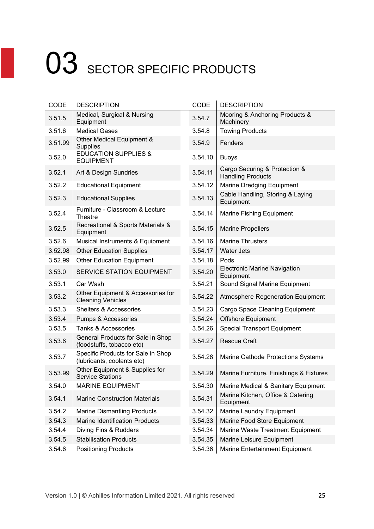| CODE    | <b>DESCRIPTION</b>                                               | CODE    | <b>DESCRIPTION</b>                                        |
|---------|------------------------------------------------------------------|---------|-----------------------------------------------------------|
| 3.51.5  | Medical, Surgical & Nursing<br>Equipment                         | 3.54.7  | Mooring & Anchoring Products &<br>Machinery               |
| 3.51.6  | <b>Medical Gases</b>                                             | 3.54.8  | <b>Towing Products</b>                                    |
| 3.51.99 | Other Medical Equipment &<br><b>Supplies</b>                     | 3.54.9  | Fenders                                                   |
| 3.52.0  | <b>EDUCATION SUPPLIES &amp;</b><br><b>EQUIPMENT</b>              | 3.54.10 | <b>Buoys</b>                                              |
| 3.52.1  | Art & Design Sundries                                            | 3.54.11 | Cargo Securing & Protection &<br><b>Handling Products</b> |
| 3.52.2  | <b>Educational Equipment</b>                                     | 3.54.12 | Marine Dredging Equipment                                 |
| 3.52.3  | <b>Educational Supplies</b>                                      | 3.54.13 | Cable Handling, Storing & Laying<br>Equipment             |
| 3.52.4  | Furniture - Classroom & Lecture<br>Theatre                       | 3.54.14 | Marine Fishing Equipment                                  |
| 3.52.5  | Recreational & Sports Materials &<br>Equipment                   | 3.54.15 | <b>Marine Propellers</b>                                  |
| 3.52.6  | Musical Instruments & Equipment                                  | 3.54.16 | <b>Marine Thrusters</b>                                   |
| 3.52.98 | <b>Other Education Supplies</b>                                  | 3.54.17 | <b>Water Jets</b>                                         |
| 3.52.99 | <b>Other Education Equipment</b>                                 | 3.54.18 | Pods                                                      |
| 3.53.0  | SERVICE STATION EQUIPMENT                                        | 3.54.20 | <b>Electronic Marine Navigation</b><br>Equipment          |
| 3.53.1  | Car Wash                                                         | 3.54.21 | Sound Signal Marine Equipment                             |
| 3.53.2  | Other Equipment & Accessories for<br><b>Cleaning Vehicles</b>    | 3.54.22 | Atmosphere Regeneration Equipment                         |
| 3.53.3  | <b>Shelters &amp; Accessories</b>                                | 3.54.23 | Cargo Space Cleaning Equipment                            |
| 3.53.4  | Pumps & Accessories                                              | 3.54.24 | Offshore Equipment                                        |
| 3.53.5  | <b>Tanks &amp; Accessories</b>                                   | 3.54.26 | <b>Special Transport Equipment</b>                        |
| 3.53.6  | General Products for Sale in Shop<br>(foodstuffs, tobacco etc)   | 3.54.27 | <b>Rescue Craft</b>                                       |
| 3.53.7  | Specific Products for Sale in Shop<br>(lubricants, coolants etc) | 3.54.28 | Marine Cathode Protections Systems                        |
| 3.53.99 | Other Equipment & Supplies for<br><b>Service Stations</b>        | 3.54.29 | Marine Furniture, Finishings & Fixtures                   |
| 3.54.0  | <b>MARINE EQUIPMENT</b>                                          | 3.54.30 | Marine Medical & Sanitary Equipment                       |
| 3.54.1  | <b>Marine Construction Materials</b>                             | 3.54.31 | Marine Kitchen, Office & Catering<br>Equipment            |
| 3.54.2  | <b>Marine Dismantling Products</b>                               | 3.54.32 | Marine Laundry Equipment                                  |
| 3.54.3  | <b>Marine Identification Products</b>                            | 3.54.33 | Marine Food Store Equipment                               |
| 3.54.4  | Diving Fins & Rudders                                            | 3.54.34 | Marine Waste Treatment Equipment                          |
| 3.54.5  | <b>Stabilisation Products</b>                                    | 3.54.35 | Marine Leisure Equipment                                  |
| 3.54.6  | <b>Positioning Products</b>                                      | 3.54.36 | Marine Entertainment Equipment                            |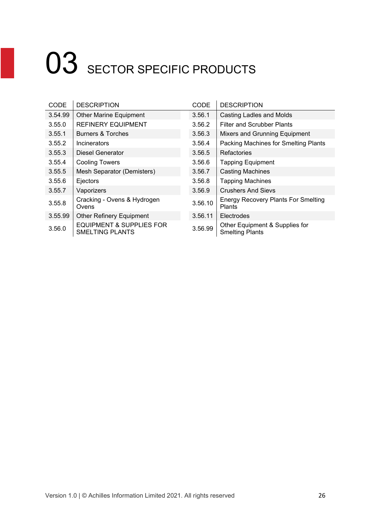| <b>CODE</b> | <b>DESCRIPTION</b>                                            | <b>CODE</b> | <b>DESCRIPTION</b>                                       |
|-------------|---------------------------------------------------------------|-------------|----------------------------------------------------------|
| 3.54.99     | <b>Other Marine Equipment</b>                                 | 3.56.1      | <b>Casting Ladles and Molds</b>                          |
| 3.55.0      | <b>REFINERY EQUIPMENT</b>                                     | 3.56.2      | <b>Filter and Scrubber Plants</b>                        |
| 3.55.1      | Burners & Torches                                             | 3.56.3      | Mixers and Grunning Equipment                            |
| 3.55.2      | <b>Incinerators</b>                                           | 3.56.4      | Packing Machines for Smelting Plants                     |
| 3.55.3      | Diesel Generator                                              | 3.56.5      | <b>Refactories</b>                                       |
| 3.55.4      | <b>Cooling Towers</b>                                         | 3.56.6      | <b>Tapping Equipment</b>                                 |
| 3.55.5      | Mesh Separator (Demisters)                                    | 3.56.7      | <b>Casting Machines</b>                                  |
| 3.55.6      | Ejectors                                                      | 3.56.8      | <b>Tapping Machines</b>                                  |
| 3.55.7      | Vaporizers                                                    | 3.56.9      | <b>Crushers And Sievs</b>                                |
| 3.55.8      | Cracking - Ovens & Hydrogen<br>Ovens                          | 3.56.10     | <b>Energy Recovery Plants For Smelting</b><br>Plants     |
| 3.55.99     | <b>Other Refinery Equipment</b>                               | 3.56.11     | Electrodes                                               |
| 3.56.0      | <b>EQUIPMENT &amp; SUPPLIES FOR</b><br><b>SMELTING PLANTS</b> | 3.56.99     | Other Equipment & Supplies for<br><b>Smelting Plants</b> |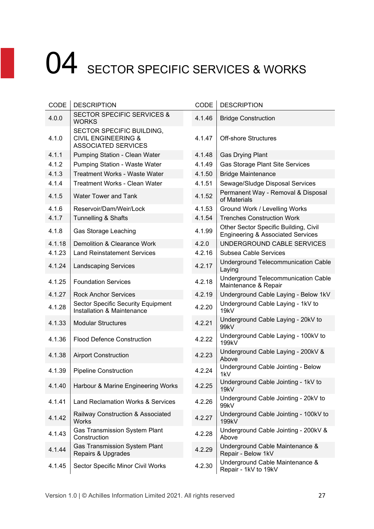| CODE   | <b>DESCRIPTION</b>                                                                        | CODE   | <b>DESCRIPTION</b>                                                                    |
|--------|-------------------------------------------------------------------------------------------|--------|---------------------------------------------------------------------------------------|
| 4.0.0  | <b>SECTOR SPECIFIC SERVICES &amp;</b><br><b>WORKS</b>                                     | 4.1.46 | <b>Bridge Construction</b>                                                            |
| 4.1.0  | SECTOR SPECIFIC BUILDING,<br><b>CIVIL ENGINEERING &amp;</b><br><b>ASSOCIATED SERVICES</b> | 4.1.47 | <b>Off-shore Structures</b>                                                           |
| 4.1.1  | Pumping Station - Clean Water                                                             | 4.1.48 | <b>Gas Drying Plant</b>                                                               |
| 4.1.2  | Pumping Station - Waste Water                                                             | 4.1.49 | Gas Storage Plant Site Services                                                       |
| 4.1.3  | Treatment Works - Waste Water                                                             | 4.1.50 | <b>Bridge Maintenance</b>                                                             |
| 4.1.4  | <b>Treatment Works - Clean Water</b>                                                      | 4.1.51 | Sewage/Sludge Disposal Services                                                       |
| 4.1.5  | <b>Water Tower and Tank</b>                                                               | 4.1.52 | Permanent Way - Removal & Disposal<br>of Materials                                    |
| 4.1.6  | Reservoir/Dam/Weir/Lock                                                                   | 4.1.53 | Ground Work / Levelling Works                                                         |
| 4.1.7  | <b>Tunnelling &amp; Shafts</b>                                                            | 4.1.54 | <b>Trenches Construction Work</b>                                                     |
| 4.1.8  | Gas Storage Leaching                                                                      | 4.1.99 | Other Sector Specific Building, Civil<br><b>Engineering &amp; Associated Services</b> |
| 4.1.18 | Demolition & Clearance Work                                                               | 4.2.0  | UNDERGROUND CABLE SERVICES                                                            |
| 4.1.23 | <b>Land Reinstatement Services</b>                                                        | 4.2.16 | Subsea Cable Services                                                                 |
| 4.1.24 | <b>Landscaping Services</b>                                                               | 4.2.17 | <b>Underground Telecommunication Cable</b><br>Laying                                  |
| 4.1.25 | <b>Foundation Services</b>                                                                | 4.2.18 | <b>Underground Telecommunication Cable</b><br>Maintenance & Repair                    |
| 4.1.27 | <b>Rock Anchor Services</b>                                                               | 4.2.19 | Underground Cable Laying - Below 1kV                                                  |
| 4.1.28 | <b>Sector Specific Security Equipment</b><br>Installation & Maintenance                   | 4.2.20 | Underground Cable Laying - 1kV to<br>19kV                                             |
| 4.1.33 | <b>Modular Structures</b>                                                                 | 4.2.21 | Underground Cable Laying - 20kV to<br>99kV                                            |
| 4.1.36 | <b>Flood Defence Construction</b>                                                         | 4.2.22 | Underground Cable Laying - 100kV to<br>199kV                                          |
| 4.1.38 | <b>Airport Construction</b>                                                               | 4.2.23 | Underground Cable Laying - 200kV &<br>Above                                           |
| 4.1.39 | <b>Pipeline Construction</b>                                                              | 4.2.24 | Underground Cable Jointing - Below<br>1kV                                             |
| 4.1.40 | Harbour & Marine Engineering Works                                                        | 4.2.25 | Underground Cable Jointing - 1kV to<br>19kV                                           |
| 4.1.41 | Land Reclamation Works & Services                                                         | 4.2.26 | Underground Cable Jointing - 20kV to<br>99kV                                          |
| 4.1.42 | Railway Construction & Associated<br><b>Works</b>                                         | 4.2.27 | Underground Cable Jointing - 100kV to<br>199kV                                        |
| 4.1.43 | <b>Gas Transmission System Plant</b><br>Construction                                      | 4.2.28 | Underground Cable Jointing - 200kV &<br>Above                                         |
| 4.1.44 | <b>Gas Transmission System Plant</b><br>Repairs & Upgrades                                | 4.2.29 | Underground Cable Maintenance &<br>Repair - Below 1kV                                 |
| 4.1.45 | Sector Specific Minor Civil Works                                                         | 4.2.30 | Underground Cable Maintenance &<br>Repair - 1kV to 19kV                               |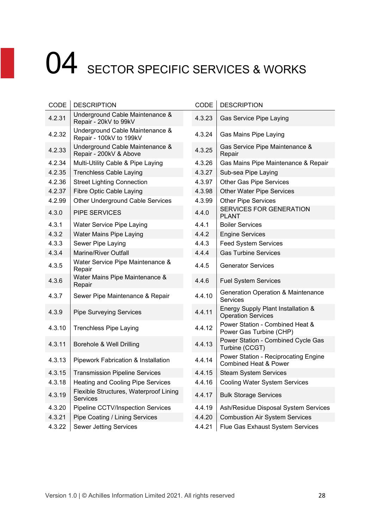| CODE   | <b>DESCRIPTION</b>                                         | CODE   | <b>DESCRIPTION</b>                                                       |
|--------|------------------------------------------------------------|--------|--------------------------------------------------------------------------|
| 4.2.31 | Underground Cable Maintenance &<br>Repair - 20kV to 99kV   | 4.3.23 | Gas Service Pipe Laying                                                  |
| 4.2.32 | Underground Cable Maintenance &<br>Repair - 100kV to 199kV | 4.3.24 | Gas Mains Pipe Laying                                                    |
| 4.2.33 | Underground Cable Maintenance &<br>Repair - 200kV & Above  | 4.3.25 | Gas Service Pipe Maintenance &<br>Repair                                 |
| 4.2.34 | Multi-Utility Cable & Pipe Laying                          | 4.3.26 | Gas Mains Pipe Maintenance & Repair                                      |
| 4.2.35 | <b>Trenchless Cable Laying</b>                             | 4.3.27 | Sub-sea Pipe Laying                                                      |
| 4.2.36 | <b>Street Lighting Connection</b>                          | 4.3.97 | Other Gas Pipe Services                                                  |
| 4.2.37 | <b>Fibre Optic Cable Laying</b>                            | 4.3.98 | <b>Other Water Pipe Services</b>                                         |
| 4.2.99 | Other Underground Cable Services                           | 4.3.99 | <b>Other Pipe Services</b>                                               |
| 4.3.0  | PIPE SERVICES                                              | 4.4.0  | SERVICES FOR GENERATION<br><b>PLANT</b>                                  |
| 4.3.1  | Water Service Pipe Laying                                  | 4.4.1  | <b>Boiler Services</b>                                                   |
| 4.3.2  | Water Mains Pipe Laying                                    | 4.4.2  | <b>Engine Services</b>                                                   |
| 4.3.3  | Sewer Pipe Laying                                          | 4.4.3  | <b>Feed System Services</b>                                              |
| 4.3.4  | <b>Marine/River Outfall</b>                                | 4.4.4  | <b>Gas Turbine Services</b>                                              |
| 4.3.5  | Water Service Pipe Maintenance &<br>Repair                 | 4.4.5  | <b>Generator Services</b>                                                |
| 4.3.6  | Water Mains Pipe Maintenance &<br>Repair                   | 4.4.6  | <b>Fuel System Services</b>                                              |
| 4.3.7  | Sewer Pipe Maintenance & Repair                            | 4.4.10 | <b>Generation Operation &amp; Maintenance</b><br><b>Services</b>         |
| 4.3.9  | <b>Pipe Surveying Services</b>                             | 4.4.11 | Energy Supply Plant Installation &<br><b>Operation Services</b>          |
| 4.3.10 | <b>Trenchless Pipe Laying</b>                              | 4.4.12 | Power Station - Combined Heat &<br>Power Gas Turbine (CHP)               |
| 4.3.11 | Borehole & Well Drilling                                   | 4.4.13 | Power Station - Combined Cycle Gas<br>Turbine (CCGT)                     |
| 4.3.13 | Pipework Fabrication & Installation                        | 4.4.14 | Power Station - Reciprocating Engine<br><b>Combined Heat &amp; Power</b> |
| 4.3.15 | <b>Transmission Pipeline Services</b>                      | 4.4.15 | <b>Steam System Services</b>                                             |
| 4.3.18 | <b>Heating and Cooling Pipe Services</b>                   | 4.4.16 | <b>Cooling Water System Services</b>                                     |
| 4.3.19 | Flexible Structures, Waterproof Lining<br>Services         | 4.4.17 | <b>Bulk Storage Services</b>                                             |
| 4.3.20 | Pipeline CCTV/Inspection Services                          | 4.4.19 | Ash/Residue Disposal System Services                                     |
| 4.3.21 | Pipe Coating / Lining Services                             | 4.4.20 | <b>Combustion Air System Services</b>                                    |
| 4.3.22 | <b>Sewer Jetting Services</b>                              | 4.4.21 | Flue Gas Exhaust System Services                                         |
|        |                                                            |        |                                                                          |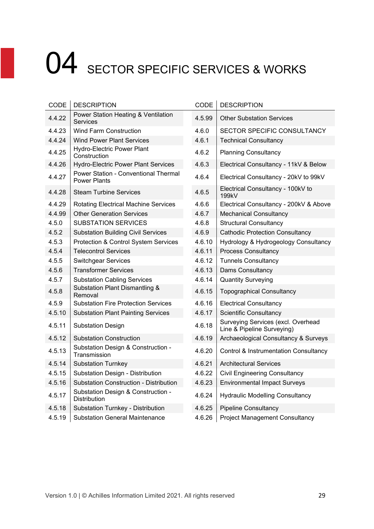| CODE   | <b>DESCRIPTION</b>                                          | <b>CODE</b> | <b>DESCRIPTION</b>                                               |
|--------|-------------------------------------------------------------|-------------|------------------------------------------------------------------|
| 4.4.22 | Power Station Heating & Ventilation<br><b>Services</b>      | 4.5.99      | <b>Other Substation Services</b>                                 |
| 4.4.23 | <b>Wind Farm Construction</b>                               | 4.6.0       | SECTOR SPECIFIC CONSULTANCY                                      |
| 4.4.24 | <b>Wind Power Plant Services</b>                            | 4.6.1       | <b>Technical Consultancy</b>                                     |
| 4.4.25 | <b>Hydro-Electric Power Plant</b><br>Construction           | 4.6.2       | <b>Planning Consultancy</b>                                      |
| 4.4.26 | <b>Hydro-Electric Power Plant Services</b>                  | 4.6.3       | Electrical Consultancy - 11kV & Below                            |
| 4.4.27 | Power Station - Conventional Thermal<br><b>Power Plants</b> | 4.6.4       | Electrical Consultancy - 20kV to 99kV                            |
| 4.4.28 | <b>Steam Turbine Services</b>                               | 4.6.5       | Electrical Consultancy - 100kV to<br>199kV                       |
| 4.4.29 | <b>Rotating Electrical Machine Services</b>                 | 4.6.6       | Electrical Consultancy - 200kV & Above                           |
| 4.4.99 | <b>Other Generation Services</b>                            | 4.6.7       | <b>Mechanical Consultancy</b>                                    |
| 4.5.0  | <b>SUBSTATION SERVICES</b>                                  | 4.6.8       | <b>Structural Consultancy</b>                                    |
| 4.5.2  | <b>Substation Building Civil Services</b>                   | 4.6.9       | <b>Cathodic Protection Consultancy</b>                           |
| 4.5.3  | Protection & Control System Services                        | 4.6.10      | Hydrology & Hydrogeology Consultancy                             |
| 4.5.4  | <b>Telecontrol Services</b>                                 | 4.6.11      | <b>Process Consultancy</b>                                       |
| 4.5.5  | <b>Switchgear Services</b>                                  | 4.6.12      | <b>Tunnels Consultancy</b>                                       |
| 4.5.6  | <b>Transformer Services</b>                                 | 4.6.13      | Dams Consultancy                                                 |
| 4.5.7  | <b>Substation Cabling Services</b>                          | 4.6.14      | <b>Quantity Surveying</b>                                        |
| 4.5.8  | <b>Substation Plant Dismantling &amp;</b><br>Removal        | 4.6.15      | <b>Topographical Consultancy</b>                                 |
| 4.5.9  | <b>Substation Fire Protection Services</b>                  | 4.6.16      | <b>Electrical Consultancy</b>                                    |
| 4.5.10 | <b>Substation Plant Painting Services</b>                   | 4.6.17      | <b>Scientific Consultancy</b>                                    |
| 4.5.11 | <b>Substation Design</b>                                    | 4.6.18      | Surveying Services (excl. Overhead<br>Line & Pipeline Surveying) |
| 4.5.12 | <b>Substation Construction</b>                              | 4.6.19      | Archaeological Consultancy & Surveys                             |
| 4.5.13 | Substation Design & Construction -<br>Transmission          | 4.6.20      | <b>Control &amp; Instrumentation Consultancy</b>                 |
| 4.5.14 | <b>Substation Turnkey</b>                                   | 4.6.21      | <b>Architectural Services</b>                                    |
| 4.5.15 | Substation Design - Distribution                            | 4.6.22      | <b>Civil Engineering Consultancy</b>                             |
| 4.5.16 | <b>Substation Construction - Distribution</b>               | 4.6.23      | <b>Environmental Impact Surveys</b>                              |
| 4.5.17 | Substation Design & Construction -<br><b>Distribution</b>   | 4.6.24      | <b>Hydraulic Modelling Consultancy</b>                           |
| 4.5.18 | Substation Turnkey - Distribution                           | 4.6.25      | <b>Pipeline Consultancy</b>                                      |
| 4.5.19 | <b>Substation General Maintenance</b>                       | 4.6.26      | <b>Project Management Consultancy</b>                            |

| SECTOR SPECIFIC CONSULTANCY            |
|----------------------------------------|
|                                        |
|                                        |
| Electrical Consultancy - 11kV & Below  |
| Electrical Consultancy - 20kV to 99kV  |
| Electrical Consultancy - 100kV to      |
| Electrical Consultancy - 200kV & Above |
|                                        |
|                                        |
| <b>Cathodic Protection Consultancy</b> |
| Hydrology & Hydrogeology Consultancy   |
|                                        |
|                                        |
|                                        |
|                                        |
|                                        |
|                                        |
|                                        |
| Surveying Services (excl. Overhead     |
| Archaeological Consultancy & Surveys   |
| Control & Instrumentation Consultancy  |
|                                        |
|                                        |
|                                        |
| <b>Hydraulic Modelling Consultancy</b> |
|                                        |
| <b>Project Management Consultancy</b>  |
|                                        |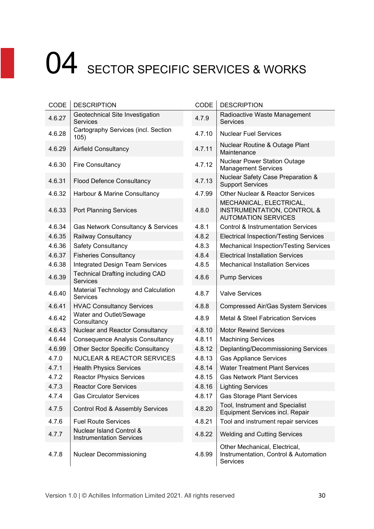| CODE   | <b>DESCRIPTION</b>                                          | CODE   | <b>DESCRIPTION</b>                                                                             |
|--------|-------------------------------------------------------------|--------|------------------------------------------------------------------------------------------------|
| 4.6.27 | Geotechnical Site Investigation<br><b>Services</b>          | 4.7.9  | Radioactive Waste Management<br><b>Services</b>                                                |
| 4.6.28 | Cartography Services (incl. Section<br>105)                 | 4.7.10 | <b>Nuclear Fuel Services</b>                                                                   |
| 4.6.29 | <b>Airfield Consultancy</b>                                 | 4.7.11 | Nuclear Routine & Outage Plant<br>Maintenance                                                  |
| 4.6.30 | <b>Fire Consultancy</b>                                     | 4.7.12 | <b>Nuclear Power Station Outage</b><br><b>Management Services</b>                              |
| 4.6.31 | <b>Flood Defence Consultancy</b>                            | 4.7.13 | Nuclear Safety Case Preparation &<br><b>Support Services</b>                                   |
| 4.6.32 | Harbour & Marine Consultancy                                | 4.7.99 | Other Nuclear & Reactor Services                                                               |
| 4.6.33 | <b>Port Planning Services</b>                               | 4.8.0  | MECHANICAL, ELECTRICAL,<br><b>INSTRUMENTATION, CONTROL &amp;</b><br><b>AUTOMATION SERVICES</b> |
| 4.6.34 | Gas Network Consultancy & Services                          | 4.8.1  | <b>Control &amp; Instrumentation Services</b>                                                  |
| 4.6.35 | Railway Consultancy                                         | 4.8.2  | <b>Electrical Inspection/Testing Services</b>                                                  |
| 4.6.36 | <b>Safety Consultancy</b>                                   | 4.8.3  | <b>Mechanical Inspection/Testing Services</b>                                                  |
| 4.6.37 | <b>Fisheries Consultancy</b>                                | 4.8.4  | <b>Electrical Installation Services</b>                                                        |
| 4.6.38 | <b>Integrated Design Team Services</b>                      | 4.8.5  | <b>Mechanical Installation Services</b>                                                        |
| 4.6.39 | <b>Technical Drafting including CAD</b><br>Services         | 4.8.6  | <b>Pump Services</b>                                                                           |
| 4.6.40 | Material Technology and Calculation<br><b>Services</b>      | 4.8.7  | <b>Valve Services</b>                                                                          |
| 4.6.41 | <b>HVAC Consultancy Services</b>                            | 4.8.8  | <b>Compressed Air/Gas System Services</b>                                                      |
| 4.6.42 | Water and Outlet/Sewage<br>Consultancy                      | 4.8.9  | <b>Metal &amp; Steel Fabrication Services</b>                                                  |
| 4.6.43 | Nuclear and Reactor Consultancy                             | 4.8.10 | <b>Motor Rewind Services</b>                                                                   |
| 4.6.44 | <b>Consequence Analysis Consultancy</b>                     | 4.8.11 | <b>Machining Services</b>                                                                      |
| 4.6.99 | <b>Other Sector Specific Consultancy</b>                    | 4.8.12 | Deplanting/Decommissioning Services                                                            |
| 4.7.0  | <b>NUCLEAR &amp; REACTOR SERVICES</b>                       | 4.8.13 | <b>Gas Appliance Services</b>                                                                  |
| 4.7.1  | <b>Health Physics Services</b>                              | 4.8.14 | <b>Water Treatment Plant Services</b>                                                          |
| 4.7.2  | <b>Reactor Physics Services</b>                             | 4.8.15 | <b>Gas Network Plant Services</b>                                                              |
| 4.7.3  | <b>Reactor Core Services</b>                                | 4.8.16 | <b>Lighting Services</b>                                                                       |
| 4.7.4  | <b>Gas Circulator Services</b>                              | 4.8.17 | <b>Gas Storage Plant Services</b>                                                              |
| 4.7.5  | Control Rod & Assembly Services                             | 4.8.20 | Tool, Instrument and Specialist<br><b>Equipment Services incl. Repair</b>                      |
| 4.7.6  | <b>Fuel Route Services</b>                                  | 4.8.21 | Tool and instrument repair services                                                            |
| 4.7.7  | Nuclear Island Control &<br><b>Instrumentation Services</b> | 4.8.22 | <b>Welding and Cutting Services</b>                                                            |
| 4.7.8  | <b>Nuclear Decommissioning</b>                              | 4.8.99 | Other Mechanical, Electrical,<br>Instrumentation, Control & Automation<br><b>Services</b>      |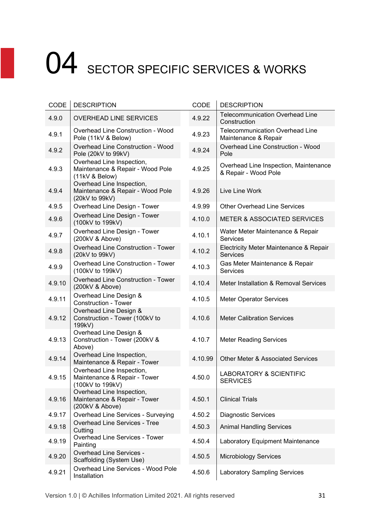| CODE   | <b>DESCRIPTION</b>                                                              | CODE    | <b>DESCRIPTION</b>                                             |
|--------|---------------------------------------------------------------------------------|---------|----------------------------------------------------------------|
| 4.9.0  | <b>OVERHEAD LINE SERVICES</b>                                                   | 4.9.22  | <b>Telecommunication Overhead Line</b><br>Construction         |
| 4.9.1  | Overhead Line Construction - Wood<br>Pole (11kV & Below)                        | 4.9.23  | <b>Telecommunication Overhead Line</b><br>Maintenance & Repair |
| 4.9.2  | <b>Overhead Line Construction - Wood</b><br>Pole (20kV to 99kV)                 | 4.9.24  | Overhead Line Construction - Wood<br>Pole                      |
| 4.9.3  | Overhead Line Inspection,<br>Maintenance & Repair - Wood Pole<br>(11kV & Below) | 4.9.25  | Overhead Line Inspection, Maintenance<br>& Repair - Wood Pole  |
| 4.9.4  | Overhead Line Inspection,<br>Maintenance & Repair - Wood Pole<br>(20kV to 99kV) | 4.9.26  | Live Line Work                                                 |
| 4.9.5  | Overhead Line Design - Tower                                                    | 4.9.99  | <b>Other Overhead Line Services</b>                            |
| 4.9.6  | Overhead Line Design - Tower<br>(100kV to 199kV)                                | 4.10.0  | <b>METER &amp; ASSOCIATED SERVICES</b>                         |
| 4.9.7  | Overhead Line Design - Tower<br>(200kV & Above)                                 | 4.10.1  | Water Meter Maintenance & Repair<br>Services                   |
| 4.9.8  | Overhead Line Construction - Tower<br>(20kV to 99kV)                            | 4.10.2  | Electricity Meter Maintenance & Repair<br><b>Services</b>      |
| 4.9.9  | <b>Overhead Line Construction - Tower</b><br>(100kV to 199kV)                   | 4.10.3  | Gas Meter Maintenance & Repair<br><b>Services</b>              |
| 4.9.10 | <b>Overhead Line Construction - Tower</b><br>(200kV & Above)                    | 4.10.4  | Meter Installation & Removal Services                          |
| 4.9.11 | Overhead Line Design &<br><b>Construction - Tower</b>                           | 4.10.5  | <b>Meter Operator Services</b>                                 |
| 4.9.12 | Overhead Line Design &<br>Construction - Tower (100kV to<br>199kV)              | 4.10.6  | <b>Meter Calibration Services</b>                              |
| 4.9.13 | Overhead Line Design &<br>Construction - Tower (200kV &<br>Above)               | 4.10.7  | <b>Meter Reading Services</b>                                  |
| 4.9.14 | Overhead Line Inspection,<br>Maintenance & Repair - Tower                       | 4.10.99 | <b>Other Meter &amp; Associated Services</b>                   |
| 4.9.15 | Overhead Line Inspection,<br>Maintenance & Repair - Tower<br>(100kV to 199kV)   | 4.50.0  | <b>LABORATORY &amp; SCIENTIFIC</b><br><b>SERVICES</b>          |
| 4.9.16 | Overhead Line Inspection,<br>Maintenance & Repair - Tower<br>(200kV & Above)    | 4.50.1  | <b>Clinical Trials</b>                                         |
| 4.9.17 | Overhead Line Services - Surveying                                              | 4.50.2  | <b>Diagnostic Services</b>                                     |
| 4.9.18 | <b>Overhead Line Services - Tree</b><br>Cutting                                 | 4.50.3  | <b>Animal Handling Services</b>                                |
| 4.9.19 | <b>Overhead Line Services - Tower</b><br>Painting                               | 4.50.4  | Laboratory Equipment Maintenance                               |
| 4.9.20 | <b>Overhead Line Services -</b><br>Scaffolding (System Use)                     | 4.50.5  | <b>Microbiology Services</b>                                   |
| 4.9.21 | Overhead Line Services - Wood Pole<br>Installation                              | 4.50.6  | <b>Laboratory Sampling Services</b>                            |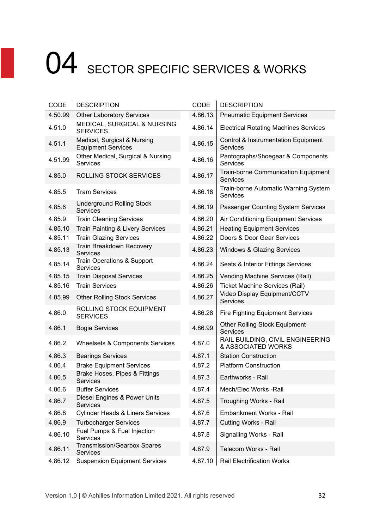| CODE    | <b>DESCRIPTION</b>                                       | CODE    | <b>DESCRIPTION</b>                                            |
|---------|----------------------------------------------------------|---------|---------------------------------------------------------------|
| 4.50.99 | <b>Other Laboratory Services</b>                         | 4.86.13 | <b>Pneumatic Equipment Services</b>                           |
| 4.51.0  | MEDICAL, SURGICAL & NURSING<br><b>SERVICES</b>           | 4.86.14 | <b>Electrical Rotating Machines Services</b>                  |
| 4.51.1  | Medical, Surgical & Nursing<br><b>Equipment Services</b> | 4.86.15 | Control & Instrumentation Equipment<br><b>Services</b>        |
| 4.51.99 | Other Medical, Surgical & Nursing<br>Services            | 4.86.16 | Pantographs/Shoegear & Components<br>Services                 |
| 4.85.0  | ROLLING STOCK SERVICES                                   | 4.86.17 | <b>Train-borne Communication Equipment</b><br><b>Services</b> |
| 4.85.5  | <b>Tram Services</b>                                     | 4.86.18 | Train-borne Automatic Warning System<br><b>Services</b>       |
| 4.85.6  | <b>Underground Rolling Stock</b><br><b>Services</b>      | 4.86.19 | Passenger Counting System Services                            |
| 4.85.9  | <b>Train Cleaning Services</b>                           | 4.86.20 | Air Conditioning Equipment Services                           |
| 4.85.10 | <b>Train Painting &amp; Livery Services</b>              | 4.86.21 | <b>Heating Equipment Services</b>                             |
| 4.85.11 | <b>Train Glazing Services</b>                            | 4.86.22 | Doors & Door Gear Services                                    |
| 4.85.13 | Train Breakdown Recovery<br><b>Services</b>              | 4.86.23 | Windows & Glazing Services                                    |
| 4.85.14 | <b>Train Operations &amp; Support</b><br><b>Services</b> | 4.86.24 | Seats & Interior Fittings Services                            |
| 4.85.15 | <b>Train Disposal Services</b>                           | 4.86.25 | Vending Machine Services (Rail)                               |
| 4.85.16 | <b>Train Services</b>                                    | 4.86.26 | <b>Ticket Machine Services (Rail)</b>                         |
| 4.85.99 | <b>Other Rolling Stock Services</b>                      | 4.86.27 | Video Display Equipment/CCTV<br><b>Services</b>               |
| 4.86.0  | ROLLING STOCK EQUIPMENT<br><b>SERVICES</b>               | 4.86.28 | <b>Fire Fighting Equipment Services</b>                       |
| 4.86.1  | <b>Bogie Services</b>                                    | 4.86.99 | <b>Other Rolling Stock Equipment</b><br><b>Services</b>       |
| 4.86.2  | Wheelsets & Components Services                          | 4.87.0  | RAIL BUILDING, CIVIL ENGINEERING<br>& ASSOCIATED WORKS        |
| 4.86.3  | <b>Bearings Services</b>                                 | 4.87.1  | <b>Station Construction</b>                                   |
| 4.86.4  | <b>Brake Equipment Services</b>                          | 4.87.2  | <b>Platform Construction</b>                                  |
| 4.86.5  | Brake Hoses, Pipes & Fittings<br>Services                | 4.87.3  | Earthworks - Rail                                             |
| 4.86.6  | <b>Buffer Services</b>                                   | 4.87.4  | Mech/Elec Works -Rail                                         |
| 4.86.7  | Diesel Engines & Power Units<br><b>Services</b>          | 4.87.5  | Troughing Works - Rail                                        |
| 4.86.8  | <b>Cylinder Heads &amp; Liners Services</b>              | 4.87.6  | Embankment Works - Rail                                       |
| 4.86.9  | <b>Turbocharger Services</b>                             | 4.87.7  | <b>Cutting Works - Rail</b>                                   |
| 4.86.10 | Fuel Pumps & Fuel Injection<br>Services                  | 4.87.8  | Signalling Works - Rail                                       |
| 4.86.11 | <b>Transmission/Gearbox Spares</b><br>Services           | 4.87.9  | Telecom Works - Rail                                          |
| 4.86.12 | <b>Suspension Equipment Services</b>                     | 4.87.10 | <b>Rail Electrification Works</b>                             |